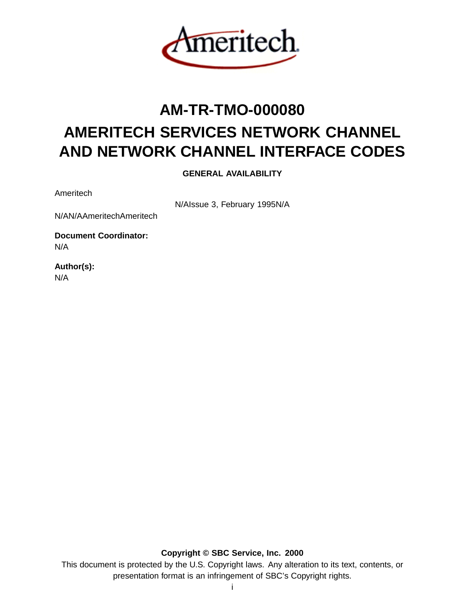

# **AM-TR-TMO-000080 AMERITECH SERVICES NETWORK CHANNEL AND NETWORK CHANNEL INTERFACE CODES**

**GENERAL AVAILABILITY**

Ameritech

N/AIssue 3, February 1995N/A

N/AN/AAmeritechAmeritech

**Document Coordinator:** N/A

**Author(s):** N/A

**Copyright © SBC Service, Inc. 2000**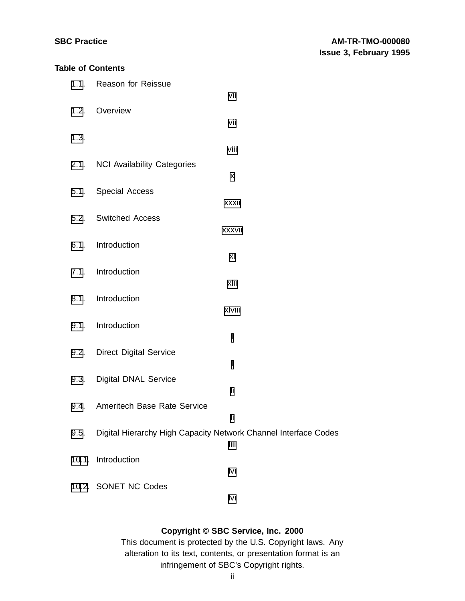## **Table of Contents**

| 1.1. | <b>Reason for Reissue</b><br>vii                                      |
|------|-----------------------------------------------------------------------|
| 1.2. | Overview<br>vii                                                       |
| 1.3. |                                                                       |
| 2.1. | viii<br><b>NCI Availability Categories</b>                            |
| 5.1. | X<br><b>Special Access</b>                                            |
| 5.2. | xxxii<br><b>Switched Access</b>                                       |
| 6.1. | xxxvii<br>Introduction                                                |
|      | xl                                                                    |
| 7.1. | Introduction<br>xlii                                                  |
| 8.1. | Introduction<br>xlviii                                                |
| 9.1. | Introduction<br>I                                                     |
| 9.2. | <b>Direct Digital Service</b><br>I                                    |
| 9.3. | <b>Digital DNAL Service</b><br>li                                     |
| 9.4. | Ameritech Base Rate Service                                           |
| 9.5. | li<br>Digital Hierarchy High Capacity Network Channel Interface Codes |
|      | liii<br>10.1. Introduction                                            |
|      | lvi<br>10.2. SONET NC Codes                                           |
|      | lvi                                                                   |

## **Copyright © SBC Service, Inc. 2000**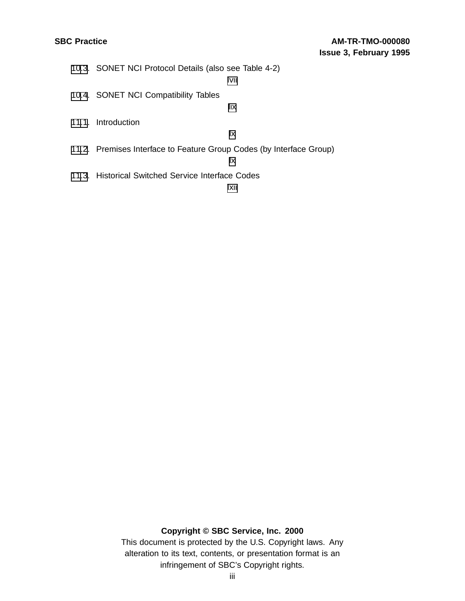| 10.3. SONET NCI Protocol Details (also see Table 4-2)                |
|----------------------------------------------------------------------|
| lvii                                                                 |
| 10.4. SONET NCI Compatibility Tables                                 |
| lix                                                                  |
| 11.1. Introduction                                                   |
| Ιx                                                                   |
| 11.2. Premises Interface to Feature Group Codes (by Interface Group) |
| lχ                                                                   |
| 11.3. Historical Switched Service Interface Codes                    |

[lxii](#page-61-0)

## **Copyright © SBC Service, Inc. 2000**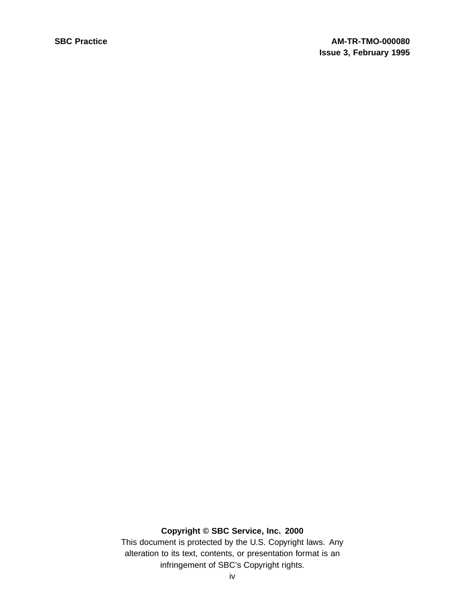## **Copyright © SBC Service, Inc. 2000**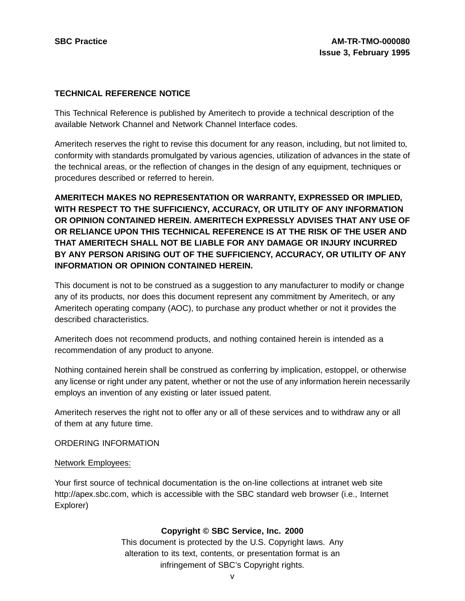#### **TECHNICAL REFERENCE NOTICE**

This Technical Reference is published by Ameritech to provide a technical description of the available Network Channel and Network Channel Interface codes.

Ameritech reserves the right to revise this document for any reason, including, but not limited to, conformity with standards promulgated by various agencies, utilization of advances in the state of the technical areas, or the reflection of changes in the design of any equipment, techniques or procedures described or referred to herein.

**AMERITECH MAKES NO REPRESENTATION OR WARRANTY, EXPRESSED OR IMPLIED, WITH RESPECT TO THE SUFFICIENCY, ACCURACY, OR UTILITY OF ANY INFORMATION OR OPINION CONTAINED HEREIN. AMERITECH EXPRESSLY ADVISES THAT ANY USE OF OR RELIANCE UPON THIS TECHNICAL REFERENCE IS AT THE RISK OF THE USER AND THAT AMERITECH SHALL NOT BE LIABLE FOR ANY DAMAGE OR INJURY INCURRED BY ANY PERSON ARISING OUT OF THE SUFFICIENCY, ACCURACY, OR UTILITY OF ANY INFORMATION OR OPINION CONTAINED HEREIN.**

This document is not to be construed as a suggestion to any manufacturer to modify or change any of its products, nor does this document represent any commitment by Ameritech, or any Ameritech operating company (AOC), to purchase any product whether or not it provides the described characteristics.

Ameritech does not recommend products, and nothing contained herein is intended as a recommendation of any product to anyone.

Nothing contained herein shall be construed as conferring by implication, estoppel, or otherwise any license or right under any patent, whether or not the use of any information herein necessarily employs an invention of any existing or later issued patent.

Ameritech reserves the right not to offer any or all of these services and to withdraw any or all of them at any future time.

#### ORDERING INFORMATION

#### Network Employees:

Your first source of technical documentation is the on-line collections at intranet web site http://apex.sbc.com, which is accessible with the SBC standard web browser (i.e., Internet Explorer)

#### **Copyright © SBC Service, Inc. 2000**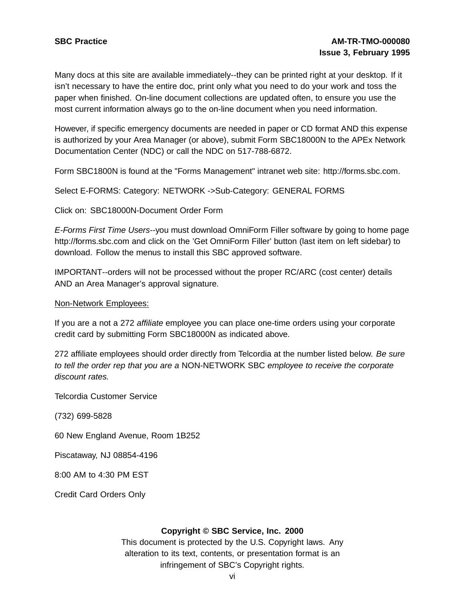Many docs at this site are available immediately--they can be printed right at your desktop. If it isn't necessary to have the entire doc, print only what you need to do your work and toss the paper when finished. On-line document collections are updated often, to ensure you use the most current information always go to the on-line document when you need information.

However, if specific emergency documents are needed in paper or CD format AND this expense is authorized by your Area Manager (or above), submit Form SBC18000N to the APEx Network Documentation Center (NDC) or call the NDC on 517-788-6872.

Form SBC1800N is found at the "Forms Management" intranet web site: http://forms.sbc.com.

Select E-FORMS: Category: NETWORK ->Sub-Category: GENERAL FORMS

Click on: SBC18000N-Document Order Form

E-Forms First Time Users--you must download OmniForm Filler software by going to home page http://forms.sbc.com and click on the 'Get OmniForm Filler' button (last item on left sidebar) to download. Follow the menus to install this SBC approved software.

IMPORTANT--orders will not be processed without the proper RC/ARC (cost center) details AND an Area Manager's approval signature.

Non-Network Employees:

If you are a not a 272 affiliate employee you can place one-time orders using your corporate credit card by submitting Form SBC18000N as indicated above.

272 affiliate employees should order directly from Telcordia at the number listed below. Be sure to tell the order rep that you are a NON-NETWORK SBC employee to receive the corporate discount rates.

Telcordia Customer Service

(732) 699-5828

60 New England Avenue, Room 1B252

Piscataway, NJ 08854-4196

8:00 AM to 4:30 PM EST

Credit Card Orders Only

#### **Copyright © SBC Service, Inc. 2000**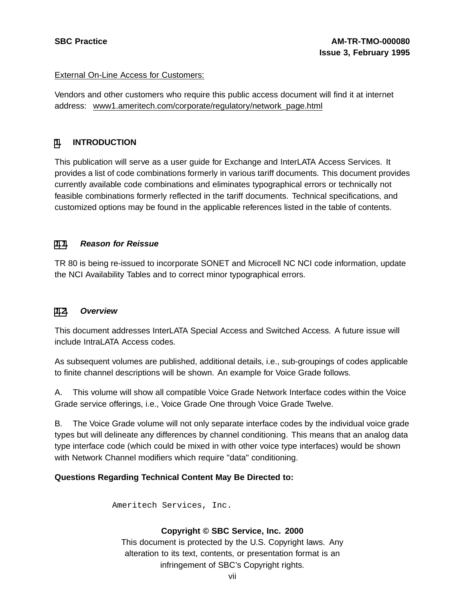#### External On-Line Access for Customers:

Vendors and other customers who require this public access document will find it at internet address: www1.ameritech.com/corporate/regulatory/network\_page.html

### **[1](#page-6-0). INTRODUCTION**

This publication will serve as a user guide for Exchange and InterLATA Access Services. It provides a list of code combinations formerly in various tariff documents. This document provides currently available code combinations and eliminates typographical errors or technically not feasible combinations formerly reflected in the tariff documents. Technical specifications, and customized options may be found in the applicable references listed in the table of contents.

### **[1.1](#page-6-0). Reason for Reissue**

TR 80 is being re-issued to incorporate SONET and Microcell NC NCI code information, update the NCI Availability Tables and to correct minor typographical errors.

#### **[1.2](#page-6-0). Overview**

This document addresses InterLATA Special Access and Switched Access. A future issue will include IntraLATA Access codes.

As subsequent volumes are published, additional details, i.e., sub-groupings of codes applicable to finite channel descriptions will be shown. An example for Voice Grade follows.

A. This volume will show all compatible Voice Grade Network Interface codes within the Voice Grade service offerings, i.e., Voice Grade One through Voice Grade Twelve.

B. The Voice Grade volume will not only separate interface codes by the individual voice grade types but will delineate any differences by channel conditioning. This means that an analog data type interface code (which could be mixed in with other voice type interfaces) would be shown with Network Channel modifiers which require "data" conditioning.

#### <span id="page-6-0"></span>**Questions Regarding Technical Content May Be Directed to:**

Ameritech Services, Inc.

## **Copyright © SBC Service, Inc. 2000**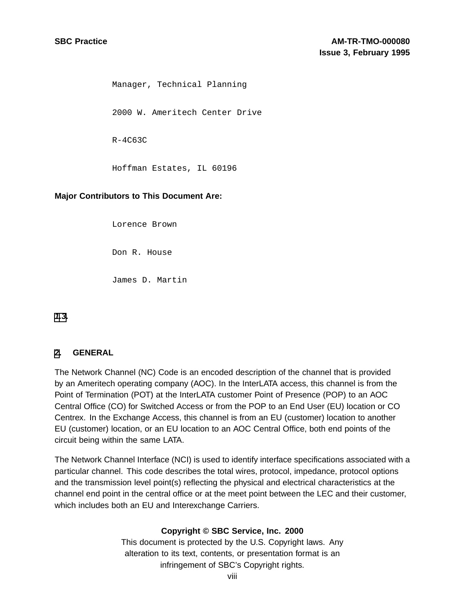Manager, Technical Planning 2000 W. Ameritech Center Drive R-4C63C Hoffman Estates, IL 60196

#### **Major Contributors to This Document Are:**

Lorence Brown

Don R. House

James D. Martin

**[1](#page-6-0)[.3](#page-7-0).**

#### **[2](#page-7-0). GENERAL**

The Network Channel (NC) Code is an encoded description of the channel that is provided by an Ameritech operating company (AOC). In the InterLATA access, this channel is from the Point of Termination (POT) at the InterLATA customer Point of Presence (POP) to an AOC Central Office (CO) for Switched Access or from the POP to an End User (EU) location or CO Centrex. In the Exchange Access, this channel is from an EU (customer) location to another EU (customer) location, or an EU location to an AOC Central Office, both end points of the circuit being within the same LATA.

<span id="page-7-0"></span>The Network Channel Interface (NCI) is used to identify interface specifications associated with a particular channel. This code describes the total wires, protocol, impedance, protocol options and the transmission level point(s) reflecting the physical and electrical characteristics at the channel end point in the central office or at the meet point between the LEC and their customer, which includes both an EU and Interexchange Carriers.

#### **Copyright © SBC Service, Inc. 2000**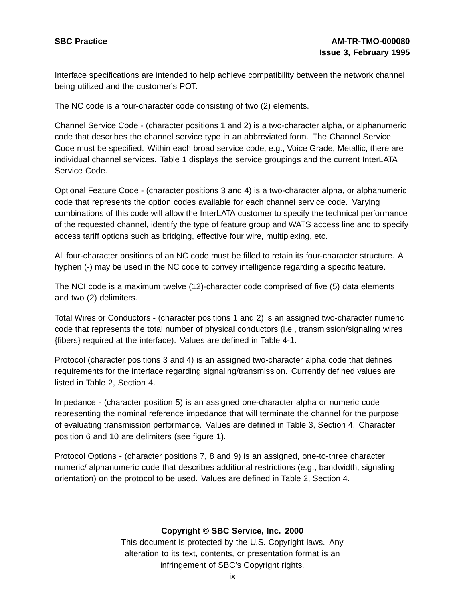Interface specifications are intended to help achieve compatibility between the network channel being utilized and the customer's POT.

The NC code is a four-character code consisting of two (2) elements.

Channel Service Code - (character positions 1 and 2) is a two-character alpha, or alphanumeric code that describes the channel service type in an abbreviated form. The Channel Service Code must be specified. Within each broad service code, e.g., Voice Grade, Metallic, there are individual channel services. Table 1 displays the service groupings and the current InterLATA Service Code.

Optional Feature Code - (character positions 3 and 4) is a two-character alpha, or alphanumeric code that represents the option codes available for each channel service code. Varying combinations of this code will allow the InterLATA customer to specify the technical performance of the requested channel, identify the type of feature group and WATS access line and to specify access tariff options such as bridging, effective four wire, multiplexing, etc.

All four-character positions of an NC code must be filled to retain its four-character structure. A hyphen (-) may be used in the NC code to convey intelligence regarding a specific feature.

The NCI code is a maximum twelve (12)-character code comprised of five (5) data elements and two (2) delimiters.

Total Wires or Conductors - (character positions 1 and 2) is an assigned two-character numeric code that represents the total number of physical conductors (i.e., transmission/signaling wires {fibers} required at the interface). Values are defined in Table 4-1.

Protocol (character positions 3 and 4) is an assigned two-character alpha code that defines requirements for the interface regarding signaling/transmission. Currently defined values are listed in Table 2, Section 4.

Impedance - (character position 5) is an assigned one-character alpha or numeric code representing the nominal reference impedance that will terminate the channel for the purpose of evaluating transmission performance. Values are defined in Table 3, Section 4. Character position 6 and 10 are delimiters (see figure 1).

Protocol Options - (character positions 7, 8 and 9) is an assigned, one-to-three character numeric/ alphanumeric code that describes additional restrictions (e.g., bandwidth, signaling orientation) on the protocol to be used. Values are defined in Table 2, Section 4.

#### **Copyright © SBC Service, Inc. 2000**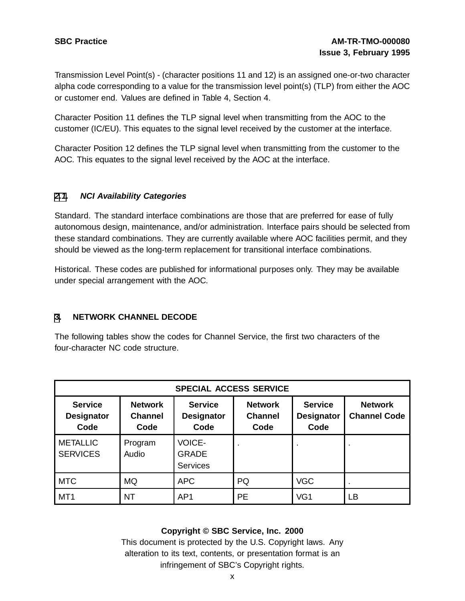Transmission Level Point(s) - (character positions 11 and 12) is an assigned one-or-two character alpha code corresponding to a value for the transmission level point(s) (TLP) from either the AOC or customer end. Values are defined in Table 4, Section 4.

Character Position 11 defines the TLP signal level when transmitting from the AOC to the customer (IC/EU). This equates to the signal level received by the customer at the interface.

Character Position 12 defines the TLP signal level when transmitting from the customer to the AOC. This equates to the signal level received by the AOC at the interface.

#### **[2](#page-7-0)[.1](#page-9-0). NCI Availability Categories**

Standard. The standard interface combinations are those that are preferred for ease of fully autonomous design, maintenance, and/or administration. Interface pairs should be selected from these standard combinations. They are currently available where AOC facilities permit, and they should be viewed as the long-term replacement for transitional interface combinations.

Historical. These codes are published for informational purposes only. They may be available under special arrangement with the AOC.

## **[3](#page-9-0). NETWORK CHANNEL DECODE**

The following tables show the codes for Channel Service, the first two characters of the four-character NC code structure.

| <b>SPECIAL ACCESS SERVICE</b>               |                                          |                                                  |                                          |                                             |                                       |  |  |
|---------------------------------------------|------------------------------------------|--------------------------------------------------|------------------------------------------|---------------------------------------------|---------------------------------------|--|--|
| <b>Service</b><br><b>Designator</b><br>Code | <b>Network</b><br><b>Channel</b><br>Code | <b>Service</b><br><b>Designator</b><br>Code      | <b>Network</b><br><b>Channel</b><br>Code | <b>Service</b><br><b>Designator</b><br>Code | <b>Network</b><br><b>Channel Code</b> |  |  |
| <b>METALLIC</b><br><b>SERVICES</b>          | Program<br>Audio                         | <b>VOICE-</b><br><b>GRADE</b><br><b>Services</b> | ٠.                                       |                                             |                                       |  |  |
| <b>MTC</b>                                  | <b>MQ</b>                                | <b>APC</b>                                       | PQ                                       | <b>VGC</b>                                  |                                       |  |  |
| MT <sub>1</sub>                             | <b>NT</b>                                | AP1                                              | <b>PE</b>                                | VG1                                         | LВ                                    |  |  |

#### <span id="page-9-0"></span>**Copyright © SBC Service, Inc. 2000**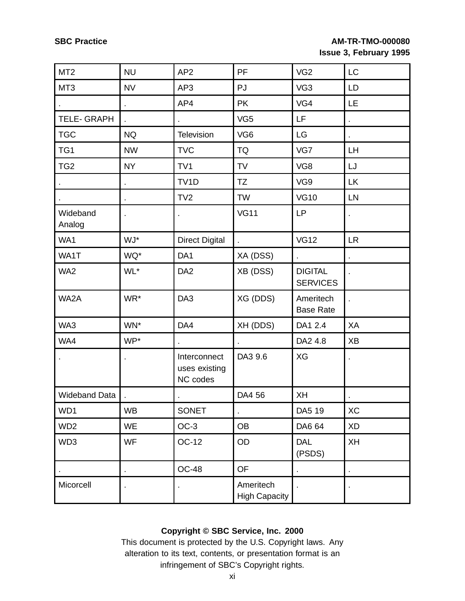| MT <sub>2</sub>      | <b>NU</b>      | AP <sub>2</sub>                           | PF                                | VG <sub>2</sub>                   | LC        |
|----------------------|----------------|-------------------------------------------|-----------------------------------|-----------------------------------|-----------|
| MT <sub>3</sub>      | <b>NV</b>      | AP3                                       | PJ                                | VG3                               | LD        |
|                      | ä,             | AP4                                       | <b>PK</b>                         | VG4                               | LE.       |
| <b>TELE- GRAPH</b>   |                |                                           | VG <sub>5</sub>                   | LF.                               | ä,        |
| <b>TGC</b>           | <b>NQ</b>      | Television                                | VG <sub>6</sub>                   | LG                                |           |
| TG1                  | <b>NW</b>      | <b>TVC</b>                                | <b>TQ</b>                         | VG7                               | LH        |
| TG <sub>2</sub>      | <b>NY</b>      | TV <sub>1</sub>                           | <b>TV</b>                         | VG8                               | LJ        |
|                      | $\blacksquare$ | TV <sub>1</sub> D                         | <b>TZ</b>                         | VG9                               | <b>LK</b> |
|                      |                | TV <sub>2</sub>                           | <b>TW</b>                         | <b>VG10</b>                       | LN        |
| Wideband<br>Analog   |                |                                           | <b>VG11</b>                       | <b>LP</b>                         |           |
| WA1                  | WJ*            | <b>Direct Digital</b>                     |                                   | <b>VG12</b>                       | <b>LR</b> |
| WA1T                 | WQ*            | DA <sub>1</sub>                           | XA (DSS)                          |                                   |           |
| WA2                  | WL*            | DA <sub>2</sub>                           | XB (DSS)                          | <b>DIGITAL</b><br><b>SERVICES</b> |           |
| WA2A                 | WR*            | DA <sub>3</sub>                           | XG (DDS)                          | Ameritech<br><b>Base Rate</b>     |           |
| WA3                  | WN*            | DA4                                       | XH (DDS)                          | DA1 2.4                           | XA        |
| WA4                  | WP*            |                                           |                                   | DA2 4.8                           | <b>XB</b> |
|                      |                | Interconnect<br>uses existing<br>NC codes | DA3 9.6                           | XG                                |           |
| <b>Wideband Data</b> |                |                                           | DA4 56                            | XH                                |           |
| WD1                  | <b>WB</b>      | <b>SONET</b>                              |                                   | DA5 19                            | XC        |
| WD <sub>2</sub>      | <b>WE</b>      | $OC-3$                                    | <b>OB</b>                         | DA6 64                            | <b>XD</b> |
| WD3                  | <b>WF</b>      | <b>OC-12</b>                              | OD                                | <b>DAL</b><br>(PSDS)              | XH        |
|                      | $\blacksquare$ | <b>OC-48</b>                              | OF                                | $\blacksquare$                    |           |
| Micorcell            |                |                                           | Ameritech<br><b>High Capacity</b> |                                   |           |

## **Copyright © SBC Service, Inc. 2000**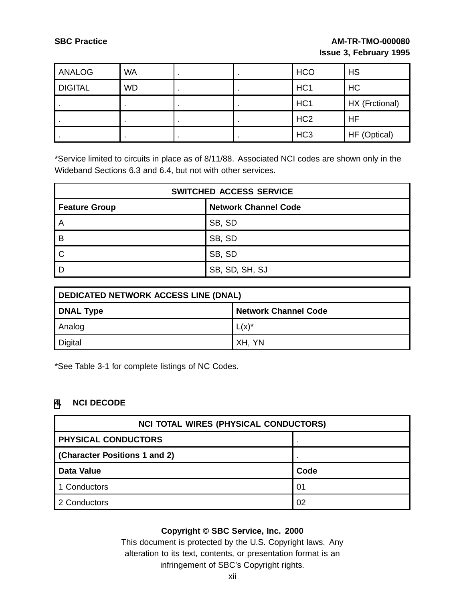| <b>ANALOG</b>  | <b>WA</b> |  | <b>HCO</b>      | <b>HS</b>      |
|----------------|-----------|--|-----------------|----------------|
| <b>DIGITAL</b> | <b>WD</b> |  | HC <sub>1</sub> | HC             |
|                |           |  | HC <sub>1</sub> | HX (Frctional) |
|                |           |  | HC <sub>2</sub> | <b>HF</b>      |
|                |           |  | HC <sub>3</sub> | HF (Optical)   |

\*Service limited to circuits in place as of 8/11/88. Associated NCI codes are shown only in the Wideband Sections 6.3 and 6.4, but not with other services.

| <b>SWITCHED ACCESS SERVICE</b> |                             |  |  |  |  |
|--------------------------------|-----------------------------|--|--|--|--|
| <b>Feature Group</b>           | <b>Network Channel Code</b> |  |  |  |  |
| A                              | SB, SD                      |  |  |  |  |
| B                              | SB, SD                      |  |  |  |  |
|                                | SB, SD                      |  |  |  |  |
|                                | SB, SD, SH, SJ              |  |  |  |  |

| DEDICATED NETWORK ACCESS LINE (DNAL) |                             |  |  |  |  |
|--------------------------------------|-----------------------------|--|--|--|--|
| <b>DNAL Type</b>                     | <b>Network Channel Code</b> |  |  |  |  |
| Analog                               | $L(x)^*$                    |  |  |  |  |
| <b>Digital</b>                       | XH, YN                      |  |  |  |  |

\*See Table 3-1 for complete listings of NC Codes.

#### **[4](#page-11-0). NCI DECODE**

| <b>NCI TOTAL WIRES (PHYSICAL CONDUCTORS)</b> |      |  |  |  |  |
|----------------------------------------------|------|--|--|--|--|
| <b>PHYSICAL CONDUCTORS</b>                   |      |  |  |  |  |
| (Character Positions 1 and 2)                |      |  |  |  |  |
| <b>Data Value</b>                            | Code |  |  |  |  |
| 1 Conductors                                 | 01   |  |  |  |  |
| 2 Conductors                                 | 02   |  |  |  |  |

### <span id="page-11-0"></span>**Copyright © SBC Service, Inc. 2000**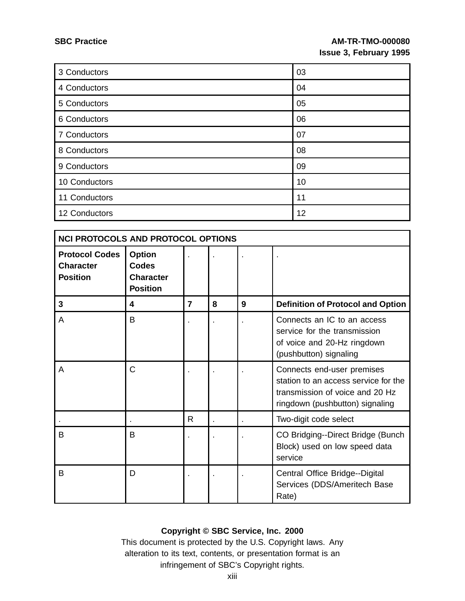| 3 Conductors  | 03 |
|---------------|----|
| 4 Conductors  | 04 |
| 5 Conductors  | 05 |
| 6 Conductors  | 06 |
| 7 Conductors  | 07 |
| 8 Conductors  | 08 |
| 9 Conductors  | 09 |
| 10 Conductors | 10 |
| 11 Conductors | 11 |
| 12 Conductors | 12 |

| <b>NCI PROTOCOLS AND PROTOCOL OPTIONS</b>                    |                                                                      |                |   |   |                                                                                                                                          |  |  |
|--------------------------------------------------------------|----------------------------------------------------------------------|----------------|---|---|------------------------------------------------------------------------------------------------------------------------------------------|--|--|
| <b>Protocol Codes</b><br><b>Character</b><br><b>Position</b> | <b>Option</b><br><b>Codes</b><br><b>Character</b><br><b>Position</b> |                |   |   |                                                                                                                                          |  |  |
| 3                                                            | 4                                                                    | $\overline{7}$ | 8 | 9 | <b>Definition of Protocol and Option</b>                                                                                                 |  |  |
| A                                                            | B                                                                    |                |   |   | Connects an IC to an access<br>service for the transmission<br>of voice and 20-Hz ringdown<br>(pushbutton) signaling                     |  |  |
| A                                                            | C                                                                    |                |   |   | Connects end-user premises<br>station to an access service for the<br>transmission of voice and 20 Hz<br>ringdown (pushbutton) signaling |  |  |
|                                                              |                                                                      | R              |   |   | Two-digit code select                                                                                                                    |  |  |
| B                                                            | B                                                                    |                |   |   | CO Bridging--Direct Bridge (Bunch<br>Block) used on low speed data<br>service                                                            |  |  |
| B                                                            | D                                                                    |                |   |   | Central Office Bridge--Digital<br>Services (DDS/Ameritech Base<br>Rate)                                                                  |  |  |

## **Copyright © SBC Service, Inc. 2000**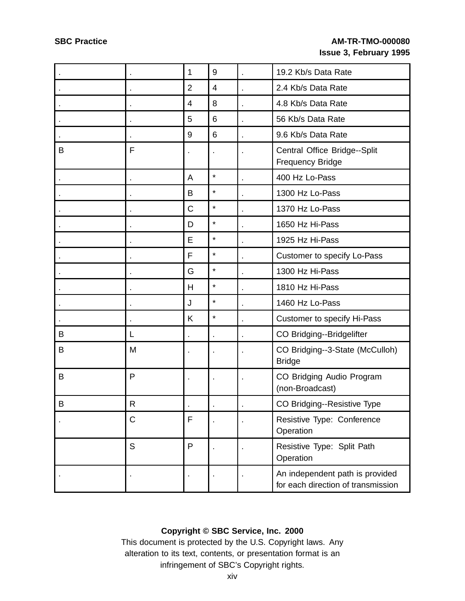|             |             | 1              | 9              | 19.2 Kb/s Data Rate                                                   |
|-------------|-------------|----------------|----------------|-----------------------------------------------------------------------|
|             |             | $\overline{2}$ | $\overline{4}$ | 2.4 Kb/s Data Rate                                                    |
|             |             | 4              | 8              | 4.8 Kb/s Data Rate                                                    |
|             |             | 5              | 6              | 56 Kb/s Data Rate                                                     |
|             |             | 9              | 6              | 9.6 Kb/s Data Rate                                                    |
| B           | F           |                |                | Central Office Bridge--Split<br><b>Frequency Bridge</b>               |
|             |             | A              | $\star$        | 400 Hz Lo-Pass                                                        |
|             |             | B              | $\star$        | 1300 Hz Lo-Pass                                                       |
|             |             | $\mathsf C$    | $\star$        | 1370 Hz Lo-Pass                                                       |
|             |             | D              | $\star$        | 1650 Hz Hi-Pass                                                       |
|             |             | E              | $\star$        | 1925 Hz Hi-Pass                                                       |
|             |             | F              | $\star$        | Customer to specify Lo-Pass                                           |
|             |             | G              | $\star$        | 1300 Hz Hi-Pass                                                       |
|             |             | H              | $\star$        | 1810 Hz Hi-Pass                                                       |
|             |             | J              | $\star$        | 1460 Hz Lo-Pass                                                       |
|             |             | K              | $\star$        | <b>Customer to specify Hi-Pass</b>                                    |
| B           | L           |                |                | CO Bridging--Bridgelifter                                             |
| B           | M           |                | ×              | CO Bridging--3-State (McCulloh)<br><b>Bridge</b>                      |
| B           | P           |                |                | CO Bridging Audio Program<br>(non-Broadcast)                          |
| $\mathsf B$ | $\mathsf R$ | $\blacksquare$ | $\bullet$      | CO Bridging--Resistive Type                                           |
|             | C           | F              |                | Resistive Type: Conference<br>Operation                               |
|             | S           | P              |                | Resistive Type: Split Path<br>Operation                               |
|             |             |                |                | An independent path is provided<br>for each direction of transmission |

## **Copyright © SBC Service, Inc. 2000**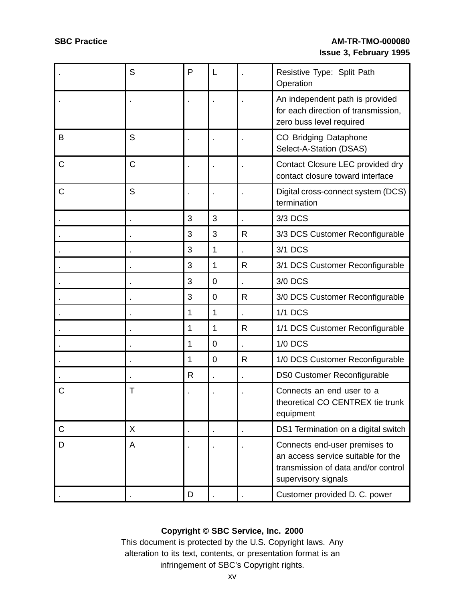|             | S | P | L              |   | Resistive Type: Split Path<br>Operation                                                                                           |
|-------------|---|---|----------------|---|-----------------------------------------------------------------------------------------------------------------------------------|
|             |   |   |                |   | An independent path is provided<br>for each direction of transmission,<br>zero buss level required                                |
| B           | S |   |                |   | CO Bridging Dataphone<br>Select-A-Station (DSAS)                                                                                  |
| C           | C |   |                |   | Contact Closure LEC provided dry<br>contact closure toward interface                                                              |
| C           | S |   |                |   | Digital cross-connect system (DCS)<br>termination                                                                                 |
|             |   | 3 | 3              |   | 3/3 DCS                                                                                                                           |
|             |   | 3 | 3              | R | 3/3 DCS Customer Reconfigurable                                                                                                   |
|             |   | 3 | 1              |   | 3/1 DCS                                                                                                                           |
|             |   | 3 | 1              | R | 3/1 DCS Customer Reconfigurable                                                                                                   |
|             |   | 3 | $\mathbf 0$    |   | 3/0 DCS                                                                                                                           |
|             |   | 3 | $\mathbf 0$    | R | 3/0 DCS Customer Reconfigurable                                                                                                   |
|             |   | 1 | 1              |   | <b>1/1 DCS</b>                                                                                                                    |
|             |   | 1 | 1              | R | 1/1 DCS Customer Reconfigurable                                                                                                   |
|             |   | 1 | $\overline{0}$ |   | <b>1/0 DCS</b>                                                                                                                    |
|             |   | 1 | $\mathbf 0$    | R | 1/0 DCS Customer Reconfigurable                                                                                                   |
|             |   | R |                |   | <b>DS0 Customer Reconfigurable</b>                                                                                                |
| C           | Τ |   |                |   | Connects an end user to a<br>theoretical CO CENTREX tie trunk<br>equipment                                                        |
| $\mathsf C$ | X |   |                |   | DS1 Termination on a digital switch                                                                                               |
| D           | A |   |                |   | Connects end-user premises to<br>an access service suitable for the<br>transmission of data and/or control<br>supervisory signals |
|             |   | D |                |   | Customer provided D. C. power                                                                                                     |

## **Copyright © SBC Service, Inc. 2000**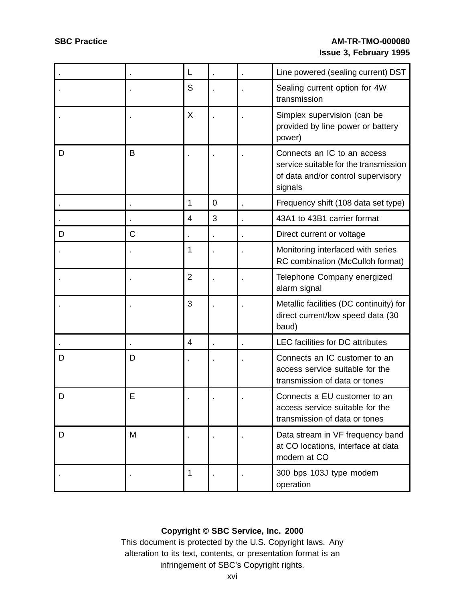|   |   | L              |                | Line powered (sealing current) DST                                                                                    |
|---|---|----------------|----------------|-----------------------------------------------------------------------------------------------------------------------|
|   |   | S              |                | Sealing current option for 4W<br>transmission                                                                         |
|   |   | X              |                | Simplex supervision (can be<br>provided by line power or battery<br>power)                                            |
| D | B |                |                | Connects an IC to an access<br>service suitable for the transmission<br>of data and/or control supervisory<br>signals |
|   |   | 1              | $\overline{0}$ | Frequency shift (108 data set type)                                                                                   |
|   |   | $\overline{4}$ | 3              | 43A1 to 43B1 carrier format                                                                                           |
| D | Ć |                |                | Direct current or voltage                                                                                             |
|   |   | 1              |                | Monitoring interfaced with series<br>RC combination (McCulloh format)                                                 |
|   |   | $\overline{2}$ |                | Telephone Company energized<br>alarm signal                                                                           |
|   |   | 3              |                | Metallic facilities (DC continuity) for<br>direct current/low speed data (30<br>baud)                                 |
|   |   | 4              |                | <b>LEC</b> facilities for DC attributes                                                                               |
| D | D |                |                | Connects an IC customer to an<br>access service suitable for the<br>transmission of data or tones                     |
| D | E |                |                | Connects a EU customer to an<br>access service suitable for the<br>transmission of data or tones                      |
| D | М |                |                | Data stream in VF frequency band<br>at CO locations, interface at data<br>modem at CO                                 |
|   |   | 1              |                | 300 bps 103J type modem<br>operation                                                                                  |

## **Copyright © SBC Service, Inc. 2000**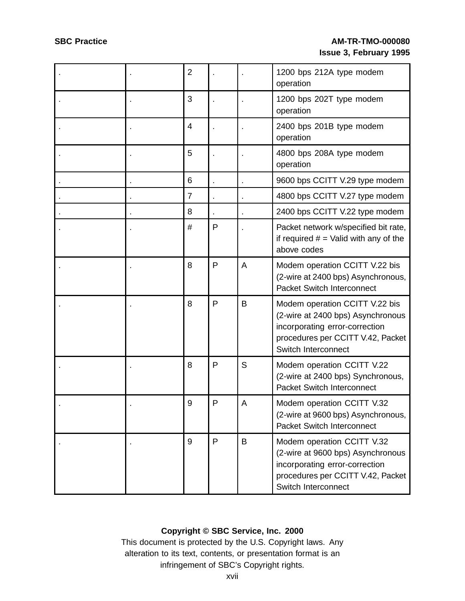|  | $\overline{2}$ |              |   | 1200 bps 212A type modem<br>operation                                                                                                                             |
|--|----------------|--------------|---|-------------------------------------------------------------------------------------------------------------------------------------------------------------------|
|  | 3              |              |   | 1200 bps 202T type modem<br>operation                                                                                                                             |
|  | $\overline{4}$ |              |   | 2400 bps 201B type modem<br>operation                                                                                                                             |
|  | 5              |              |   | 4800 bps 208A type modem<br>operation                                                                                                                             |
|  | 6              |              |   | 9600 bps CCITT V.29 type modem                                                                                                                                    |
|  | 7              |              |   | 4800 bps CCITT V.27 type modem                                                                                                                                    |
|  | 8              |              |   | 2400 bps CCITT V.22 type modem                                                                                                                                    |
|  | #              | P            |   | Packet network w/specified bit rate,<br>if required $#$ = Valid with any of the<br>above codes                                                                    |
|  | 8              | P            | A | Modem operation CCITT V.22 bis<br>(2-wire at 2400 bps) Asynchronous,<br><b>Packet Switch Interconnect</b>                                                         |
|  | 8              | $\mathsf{P}$ | B | Modem operation CCITT V.22 bis<br>(2-wire at 2400 bps) Asynchronous<br>incorporating error-correction<br>procedures per CCITT V.42, Packet<br>Switch Interconnect |
|  | 8              | P            | S | Modem operation CCITT V.22<br>(2-wire at 2400 bps) Synchronous,<br><b>Packet Switch Interconnect</b>                                                              |
|  | 9              | P            | A | Modem operation CCITT V.32<br>(2-wire at 9600 bps) Asynchronous,<br>Packet Switch Interconnect                                                                    |
|  | 9              | P            | B | Modem operation CCITT V.32<br>(2-wire at 9600 bps) Asynchronous<br>incorporating error-correction<br>procedures per CCITT V.42, Packet<br>Switch Interconnect     |

## **Copyright © SBC Service, Inc. 2000**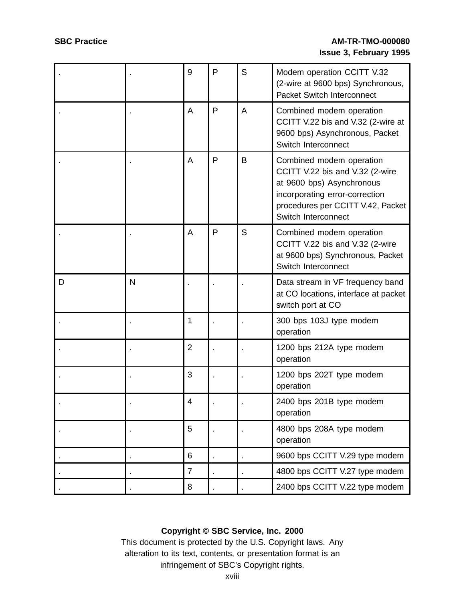|   |   | 9              | $\mathsf{P}$ | S | Modem operation CCITT V.32<br>(2-wire at 9600 bps) Synchronous,<br><b>Packet Switch Interconnect</b>                                                                                   |
|---|---|----------------|--------------|---|----------------------------------------------------------------------------------------------------------------------------------------------------------------------------------------|
|   |   | A              | P            | A | Combined modem operation<br>CCITT V.22 bis and V.32 (2-wire at<br>9600 bps) Asynchronous, Packet<br>Switch Interconnect                                                                |
|   |   | A              | P            | B | Combined modem operation<br>CCITT V.22 bis and V.32 (2-wire<br>at 9600 bps) Asynchronous<br>incorporating error-correction<br>procedures per CCITT V.42, Packet<br>Switch Interconnect |
|   |   | A              | $\mathsf{P}$ | S | Combined modem operation<br>CCITT V.22 bis and V.32 (2-wire<br>at 9600 bps) Synchronous, Packet<br>Switch Interconnect                                                                 |
| D | N |                |              |   | Data stream in VF frequency band<br>at CO locations, interface at packet<br>switch port at CO                                                                                          |
|   |   | 1              |              |   | 300 bps 103J type modem<br>operation                                                                                                                                                   |
|   |   | $\overline{2}$ |              |   | 1200 bps 212A type modem<br>operation                                                                                                                                                  |
|   |   | 3              |              |   | 1200 bps 202T type modem<br>operation                                                                                                                                                  |
|   |   | 4              |              |   | 2400 bps 201B type modem<br>operation                                                                                                                                                  |
|   |   | 5              |              |   | 4800 bps 208A type modem<br>operation                                                                                                                                                  |
|   |   | $\,6$          |              |   | 9600 bps CCITT V.29 type modem                                                                                                                                                         |
|   |   | $\overline{7}$ |              |   | 4800 bps CCITT V.27 type modem                                                                                                                                                         |
|   |   | $\,8\,$        |              |   | 2400 bps CCITT V.22 type modem                                                                                                                                                         |

## **Copyright © SBC Service, Inc. 2000**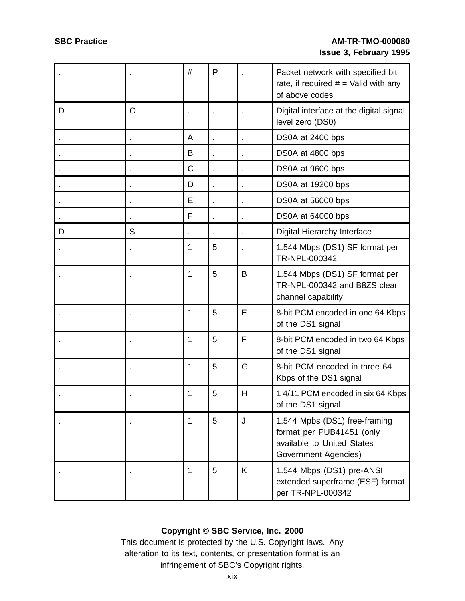|   |         | #            | P |   | Packet network with specified bit<br>rate, if required $#$ = Valid with any<br>of above codes                    |
|---|---------|--------------|---|---|------------------------------------------------------------------------------------------------------------------|
| D | $\circ$ |              |   |   | Digital interface at the digital signal<br>level zero (DS0)                                                      |
|   |         | A            |   |   | DS0A at 2400 bps                                                                                                 |
|   |         | B            |   |   | DS0A at 4800 bps                                                                                                 |
|   |         | C            |   |   | DS0A at 9600 bps                                                                                                 |
|   |         | D            |   |   | DS0A at 19200 bps                                                                                                |
|   |         | E            |   |   | DS0A at 56000 bps                                                                                                |
|   |         | F            |   |   | DS0A at 64000 bps                                                                                                |
| D | S       |              |   |   | Digital Hierarchy Interface                                                                                      |
|   |         | 1            | 5 |   | 1.544 Mbps (DS1) SF format per<br>TR-NPL-000342                                                                  |
|   |         | 1            | 5 | B | 1.544 Mbps (DS1) SF format per<br>TR-NPL-000342 and B8ZS clear<br>channel capability                             |
|   |         | 1            | 5 | E | 8-bit PCM encoded in one 64 Kbps<br>of the DS1 signal                                                            |
|   |         | 1            | 5 | F | 8-bit PCM encoded in two 64 Kbps<br>of the DS1 signal                                                            |
|   |         | 1            | 5 | G | 8-bit PCM encoded in three 64<br>Kbps of the DS1 signal                                                          |
|   |         | 1            | 5 | Н | 1 4/11 PCM encoded in six 64 Kbps<br>of the DS1 signal                                                           |
|   |         | $\mathbf{1}$ | 5 | J | 1.544 Mpbs (DS1) free-framing<br>format per PUB41451 (only<br>available to United States<br>Government Agencies) |
|   |         | 1            | 5 | K | 1.544 Mbps (DS1) pre-ANSI<br>extended superframe (ESF) format<br>per TR-NPL-000342                               |

## **Copyright © SBC Service, Inc. 2000**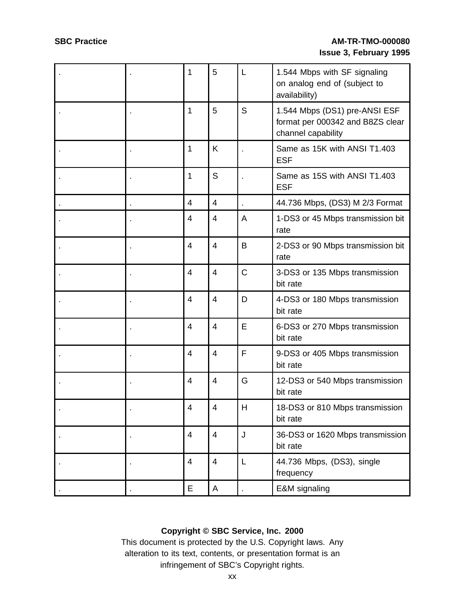|  | 1              | 5              | L | 1.544 Mbps with SF signaling<br>on analog end of (subject to<br>availability)           |
|--|----------------|----------------|---|-----------------------------------------------------------------------------------------|
|  | 1              | 5              | S | 1.544 Mbps (DS1) pre-ANSI ESF<br>format per 000342 and B8ZS clear<br>channel capability |
|  | 1              | K              |   | Same as 15K with ANSI T1.403<br><b>ESF</b>                                              |
|  | 1              | S              |   | Same as 15S with ANSI T1.403<br><b>ESF</b>                                              |
|  | $\overline{4}$ | $\overline{4}$ |   | 44.736 Mbps, (DS3) M 2/3 Format                                                         |
|  | $\overline{4}$ | $\overline{4}$ | A | 1-DS3 or 45 Mbps transmission bit<br>rate                                               |
|  | $\overline{4}$ | $\overline{4}$ | B | 2-DS3 or 90 Mbps transmission bit<br>rate                                               |
|  | $\overline{4}$ | $\overline{4}$ | C | 3-DS3 or 135 Mbps transmission<br>bit rate                                              |
|  | $\overline{4}$ | $\overline{4}$ | D | 4-DS3 or 180 Mbps transmission<br>bit rate                                              |
|  | $\overline{4}$ | $\overline{4}$ | Е | 6-DS3 or 270 Mbps transmission<br>bit rate                                              |
|  | $\overline{4}$ | $\overline{4}$ | F | 9-DS3 or 405 Mbps transmission<br>bit rate                                              |
|  | $\overline{4}$ | $\overline{4}$ | G | 12-DS3 or 540 Mbps transmission<br>bit rate                                             |
|  | $\overline{4}$ | $\overline{4}$ | Н | 18-DS3 or 810 Mbps transmission<br>bit rate                                             |
|  | $\overline{4}$ | $\overline{4}$ | J | 36-DS3 or 1620 Mbps transmission<br>bit rate                                            |
|  | 4              | 4              | L | 44.736 Mbps, (DS3), single<br>frequency                                                 |
|  | E              | A              |   | E&M signaling                                                                           |

## **Copyright © SBC Service, Inc. 2000**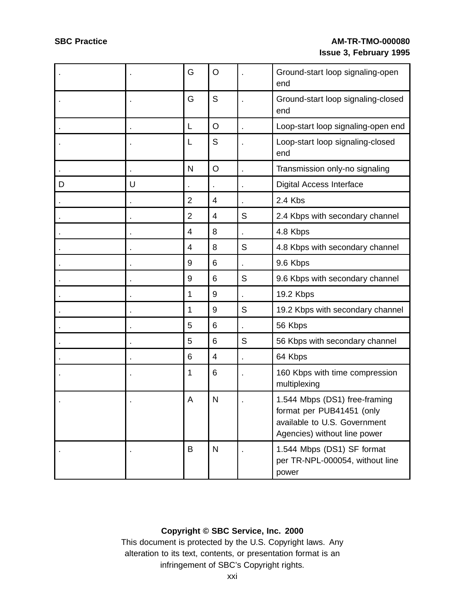|   |   | G              | O              |   | Ground-start loop signaling-open<br>end                                                                                    |
|---|---|----------------|----------------|---|----------------------------------------------------------------------------------------------------------------------------|
|   |   | G              | S              |   | Ground-start loop signaling-closed<br>end                                                                                  |
|   |   | L              | O              |   | Loop-start loop signaling-open end                                                                                         |
|   |   | L              | S              |   | Loop-start loop signaling-closed<br>end                                                                                    |
|   |   | N              | $\circ$        |   | Transmission only-no signaling                                                                                             |
| D | U |                |                |   | <b>Digital Access Interface</b>                                                                                            |
|   |   | $\overline{2}$ | 4              |   | 2.4 Kbs                                                                                                                    |
|   |   | $\overline{2}$ | 4              | S | 2.4 Kbps with secondary channel                                                                                            |
|   |   | 4              | 8              |   | 4.8 Kbps                                                                                                                   |
|   |   | 4              | 8              | S | 4.8 Kbps with secondary channel                                                                                            |
|   |   | 9              | 6              |   | 9.6 Kbps                                                                                                                   |
|   |   | 9              | 6              | S | 9.6 Kbps with secondary channel                                                                                            |
|   |   | 1              | 9              |   | 19.2 Kbps                                                                                                                  |
|   |   | 1              | 9              | S | 19.2 Kbps with secondary channel                                                                                           |
|   |   | 5              | 6              |   | 56 Kbps                                                                                                                    |
|   |   | 5              | 6              | S | 56 Kbps with secondary channel                                                                                             |
|   |   | 6              | $\overline{4}$ |   | 64 Kbps                                                                                                                    |
|   |   | 1              | 6              |   | 160 Kbps with time compression<br>multiplexing                                                                             |
|   |   | A              | N              |   | 1.544 Mbps (DS1) free-framing<br>format per PUB41451 (only<br>available to U.S. Government<br>Agencies) without line power |
|   |   | B              | $\mathsf{N}$   |   | 1.544 Mbps (DS1) SF format<br>per TR-NPL-000054, without line<br>power                                                     |

## **Copyright © SBC Service, Inc. 2000**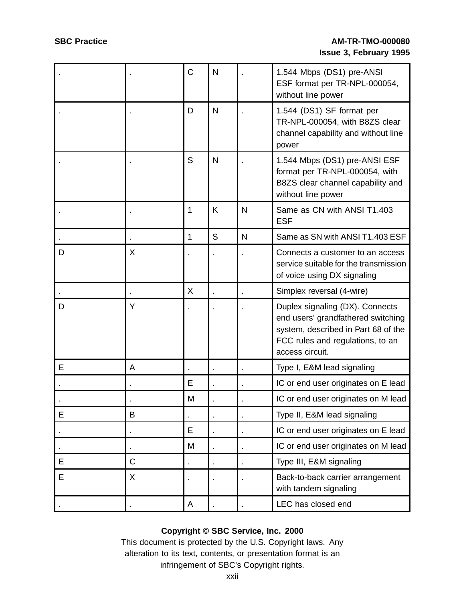|   |   | $\overline{C}$ | N |   | 1.544 Mbps (DS1) pre-ANSI<br>ESF format per TR-NPL-000054,<br>without line power                                                                                    |
|---|---|----------------|---|---|---------------------------------------------------------------------------------------------------------------------------------------------------------------------|
|   |   | D              | N |   | 1.544 (DS1) SF format per<br>TR-NPL-000054, with B8ZS clear<br>channel capability and without line<br>power                                                         |
|   |   | S              | N |   | 1.544 Mbps (DS1) pre-ANSI ESF<br>format per TR-NPL-000054, with<br>B8ZS clear channel capability and<br>without line power                                          |
|   |   | 1              | K | N | Same as CN with ANSI T1.403<br><b>ESF</b>                                                                                                                           |
|   |   | 1              | S | N | Same as SN with ANSI T1.403 ESF                                                                                                                                     |
| D | X |                |   |   | Connects a customer to an access<br>service suitable for the transmission<br>of voice using DX signaling                                                            |
|   |   | X              |   |   | Simplex reversal (4-wire)                                                                                                                                           |
| D | Υ |                |   |   | Duplex signaling (DX). Connects<br>end users' grandfathered switching<br>system, described in Part 68 of the<br>FCC rules and regulations, to an<br>access circuit. |
| E | A |                |   |   | Type I, E&M lead signaling                                                                                                                                          |
|   |   | Е              |   |   | IC or end user originates on E lead                                                                                                                                 |
|   |   | M              |   |   | IC or end user originates on M lead                                                                                                                                 |
| E | B |                |   |   | Type II, E&M lead signaling                                                                                                                                         |
|   |   | E              |   |   | IC or end user originates on E lead                                                                                                                                 |
|   |   | M              |   |   | IC or end user originates on M lead                                                                                                                                 |
| Е | C |                |   |   | Type III, E&M signaling                                                                                                                                             |
| E | X |                |   |   | Back-to-back carrier arrangement<br>with tandem signaling                                                                                                           |
|   |   | A              |   |   | LEC has closed end                                                                                                                                                  |

## **Copyright © SBC Service, Inc. 2000**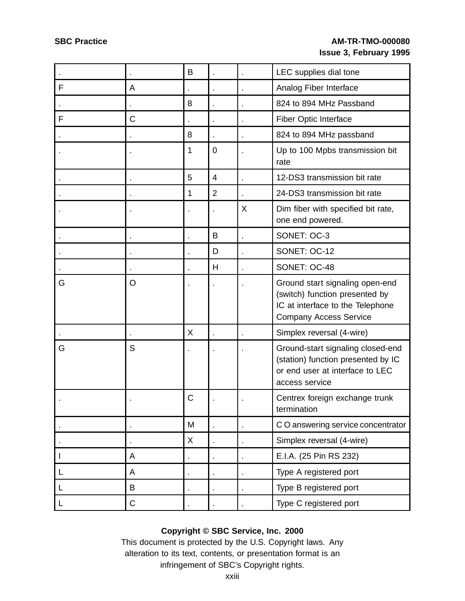|              |             | B |                |    | LEC supplies dial tone                                                                                                                 |
|--------------|-------------|---|----------------|----|----------------------------------------------------------------------------------------------------------------------------------------|
| F            | A           |   |                |    | Analog Fiber Interface                                                                                                                 |
|              |             | 8 |                |    | 824 to 894 MHz Passband                                                                                                                |
| F            | C           |   |                |    | Fiber Optic Interface                                                                                                                  |
|              |             | 8 |                |    | 824 to 894 MHz passband                                                                                                                |
|              |             | 1 | $\mathbf 0$    |    | Up to 100 Mpbs transmission bit<br>rate                                                                                                |
|              |             | 5 | 4              |    | 12-DS3 transmission bit rate                                                                                                           |
|              |             | 1 | $\overline{2}$ |    | 24-DS3 transmission bit rate                                                                                                           |
|              |             |   |                | X  | Dim fiber with specified bit rate,<br>one end powered.                                                                                 |
|              |             |   | B              | ä, | SONET: OC-3                                                                                                                            |
|              |             |   | D              |    | SONET: OC-12                                                                                                                           |
|              |             |   | H              |    | SONET: OC-48                                                                                                                           |
| G            | O           |   |                |    | Ground start signaling open-end<br>(switch) function presented by<br>IC at interface to the Telephone<br><b>Company Access Service</b> |
|              |             | X |                |    | Simplex reversal (4-wire)                                                                                                              |
| G            | S           |   |                |    | Ground-start signaling closed-end<br>(station) function presented by IC<br>or end user at interface to LEC<br>access service           |
|              |             | C |                |    | Centrex foreign exchange trunk<br>termination                                                                                          |
|              |             | M |                |    | CO answering service concentrator                                                                                                      |
|              |             | X |                |    | Simplex reversal (4-wire)                                                                                                              |
| $\mathbf{I}$ | A           |   |                |    | E.I.A. (25 Pin RS 232)                                                                                                                 |
| L            | A           |   |                |    | Type A registered port                                                                                                                 |
| L            | B           |   |                |    | Type B registered port                                                                                                                 |
| L            | $\mathsf C$ |   |                |    | Type C registered port                                                                                                                 |

## **Copyright © SBC Service, Inc. 2000**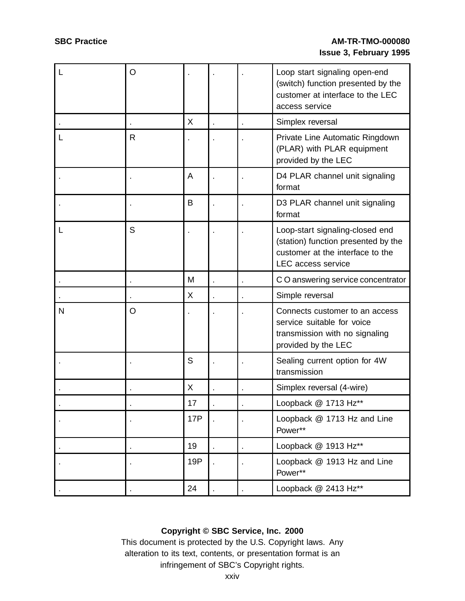| L | O |     |  | Loop start signaling open-end<br>(switch) function presented by the<br>customer at interface to the LEC<br>access service               |
|---|---|-----|--|-----------------------------------------------------------------------------------------------------------------------------------------|
|   |   | X   |  | Simplex reversal                                                                                                                        |
| L | R |     |  | Private Line Automatic Ringdown<br>(PLAR) with PLAR equipment<br>provided by the LEC                                                    |
|   |   | A   |  | D4 PLAR channel unit signaling<br>format                                                                                                |
|   |   | B   |  | D3 PLAR channel unit signaling<br>format                                                                                                |
| L | S |     |  | Loop-start signaling-closed end<br>(station) function presented by the<br>customer at the interface to the<br><b>LEC</b> access service |
|   |   | M   |  | CO answering service concentrator                                                                                                       |
|   |   | X   |  | Simple reversal                                                                                                                         |
| N | O |     |  | Connects customer to an access<br>service suitable for voice<br>transmission with no signaling<br>provided by the LEC                   |
|   |   | S   |  | Sealing current option for 4W<br>transmission                                                                                           |
|   |   | X   |  | Simplex reversal (4-wire)                                                                                                               |
|   |   | 17  |  | Loopback @ 1713 Hz**                                                                                                                    |
|   |   | 17P |  | Loopback @ 1713 Hz and Line<br>Power**                                                                                                  |
|   |   | 19  |  | Loopback @ 1913 Hz**                                                                                                                    |
|   |   | 19P |  | Loopback @ 1913 Hz and Line<br>Power**                                                                                                  |
|   |   | 24  |  | Loopback @ 2413 Hz**                                                                                                                    |

## **Copyright © SBC Service, Inc. 2000**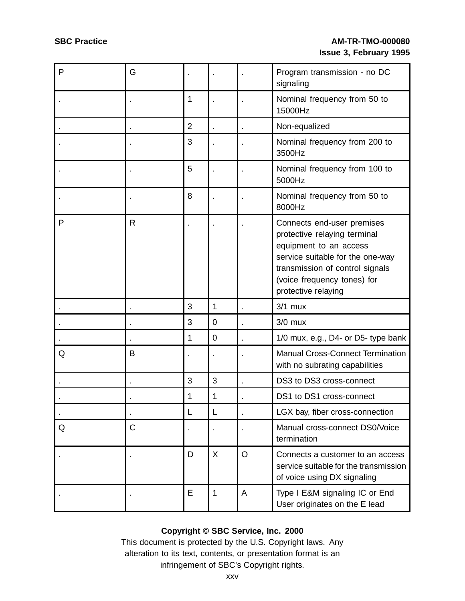| P            | G            |                |             |         | Program transmission - no DC<br>signaling                                                                                                                                                                         |
|--------------|--------------|----------------|-------------|---------|-------------------------------------------------------------------------------------------------------------------------------------------------------------------------------------------------------------------|
|              |              | 1              |             |         | Nominal frequency from 50 to<br>15000Hz                                                                                                                                                                           |
|              |              | $\overline{2}$ |             |         | Non-equalized                                                                                                                                                                                                     |
|              |              | 3              |             |         | Nominal frequency from 200 to<br>3500Hz                                                                                                                                                                           |
|              |              | 5              |             |         | Nominal frequency from 100 to<br>5000Hz                                                                                                                                                                           |
|              |              | 8              |             |         | Nominal frequency from 50 to<br>8000Hz                                                                                                                                                                            |
| $\mathsf{P}$ | $\mathsf{R}$ |                |             |         | Connects end-user premises<br>protective relaying terminal<br>equipment to an access<br>service suitable for the one-way<br>transmission of control signals<br>(voice frequency tones) for<br>protective relaying |
|              |              | 3              | 1           |         | $3/1$ mux                                                                                                                                                                                                         |
|              |              | 3              | $\mathbf 0$ |         | $3/0$ mux                                                                                                                                                                                                         |
|              |              | 1              | $\mathbf 0$ |         | 1/0 mux, e.g., D4- or D5- type bank                                                                                                                                                                               |
| Q            | B            |                |             |         | Manual Cross-Connect Termination<br>with no subrating capabilities                                                                                                                                                |
|              |              | 3              | 3           |         | DS3 to DS3 cross-connect                                                                                                                                                                                          |
|              |              | 1              | 1           |         | DS1 to DS1 cross-connect                                                                                                                                                                                          |
|              |              | L              | L           |         | LGX bay, fiber cross-connection                                                                                                                                                                                   |
| Q            | C            |                |             |         | Manual cross-connect DS0/Voice<br>termination                                                                                                                                                                     |
|              |              | D              | X           | $\circ$ | Connects a customer to an access<br>service suitable for the transmission<br>of voice using DX signaling                                                                                                          |
|              |              | Е              | 1           | A       | Type I E&M signaling IC or End<br>User originates on the E lead                                                                                                                                                   |

## **Copyright © SBC Service, Inc. 2000**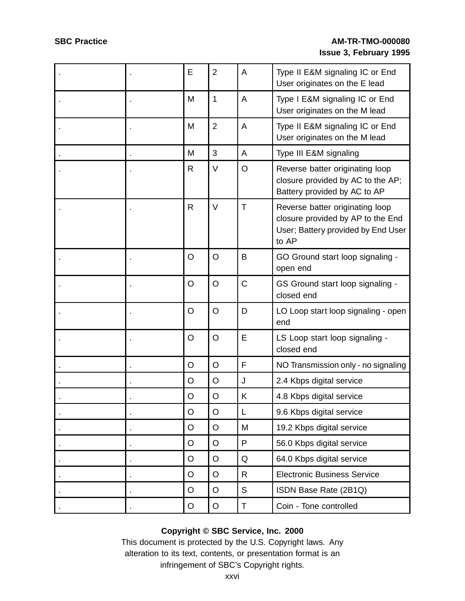|  | E       | $\overline{2}$ | A | Type II E&M signaling IC or End<br>User originates on the E lead                                                    |
|--|---------|----------------|---|---------------------------------------------------------------------------------------------------------------------|
|  | M       | 1              | A | Type I E&M signaling IC or End<br>User originates on the M lead                                                     |
|  | M       | $\overline{2}$ | A | Type II E&M signaling IC or End<br>User originates on the M lead                                                    |
|  | M       | 3              | A | Type III E&M signaling                                                                                              |
|  | R       | $\vee$         | O | Reverse batter originating loop<br>closure provided by AC to the AP;<br>Battery provided by AC to AP                |
|  | R       | $\vee$         | T | Reverse batter originating loop<br>closure provided by AP to the End<br>User; Battery provided by End User<br>to AP |
|  | $\circ$ | $\circ$        | B | GO Ground start loop signaling -<br>open end                                                                        |
|  | $\circ$ | $\circ$        | C | GS Ground start loop signaling -<br>closed end                                                                      |
|  | $\circ$ | $\circ$        | D | LO Loop start loop signaling - open<br>end                                                                          |
|  | $\circ$ | $\circ$        | E | LS Loop start loop signaling -<br>closed end                                                                        |
|  | $\circ$ | $\circ$        | F | NO Transmission only - no signaling                                                                                 |
|  | O       | $\circ$        | J | 2.4 Kbps digital service                                                                                            |
|  | $\circ$ | O              | Κ | 4.8 Kbps digital service                                                                                            |
|  | $\circ$ | $\circ$        | L | 9.6 Kbps digital service                                                                                            |
|  | $\circ$ | $\circ$        | M | 19.2 Kbps digital service                                                                                           |
|  | O       | $\circ$        | P | 56.0 Kbps digital service                                                                                           |
|  | $\circ$ | $\circ$        | Q | 64.0 Kbps digital service                                                                                           |
|  | $\circ$ | O              | R | <b>Electronic Business Service</b>                                                                                  |
|  | $\circ$ | $\circ$        | S | ISDN Base Rate (2B1Q)                                                                                               |
|  | $\circ$ | $\mathsf O$    | T | Coin - Tone controlled                                                                                              |

## **Copyright © SBC Service, Inc. 2000**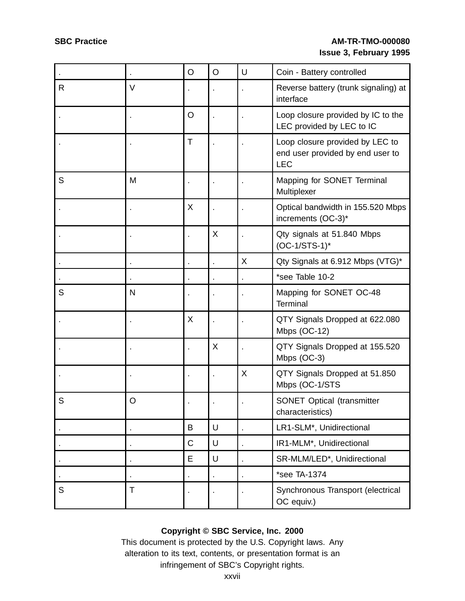|   |   | $\circ$     | $\circ$ | U | Coin - Battery controlled                                                         |
|---|---|-------------|---------|---|-----------------------------------------------------------------------------------|
| R | V |             |         |   | Reverse battery (trunk signaling) at<br>interface                                 |
|   |   | $\circ$     |         |   | Loop closure provided by IC to the<br>LEC provided by LEC to IC                   |
|   |   | $\mathsf T$ |         |   | Loop closure provided by LEC to<br>end user provided by end user to<br><b>LEC</b> |
| S | M |             |         |   | Mapping for SONET Terminal<br>Multiplexer                                         |
|   |   | X           |         |   | Optical bandwidth in 155.520 Mbps<br>increments (OC-3)*                           |
|   |   |             | X       |   | Qty signals at 51.840 Mbps<br>$(OC-1/STS-1)^*$                                    |
|   |   |             |         | X | Qty Signals at 6.912 Mbps (VTG)*                                                  |
|   |   |             |         |   | *see Table 10-2                                                                   |
| S | N |             |         |   | Mapping for SONET OC-48<br>Terminal                                               |
|   |   | X           | ×       |   | QTY Signals Dropped at 622.080<br>Mbps (OC-12)                                    |
|   |   |             | X       |   | QTY Signals Dropped at 155.520<br>Mbps (OC-3)                                     |
|   |   |             | ×       | X | QTY Signals Dropped at 51.850<br>Mbps (OC-1/STS                                   |
| S | O |             |         |   | <b>SONET Optical (transmitter</b><br>characteristics)                             |
|   |   | B           | U       |   | LR1-SLM*, Unidirectional                                                          |
|   |   | $\mathsf C$ | U       |   | IR1-MLM*, Unidirectional                                                          |
|   |   | Е           | U       |   | SR-MLM/LED*, Unidirectional                                                       |
|   |   |             |         |   | *see TA-1374                                                                      |
| S | Τ |             |         |   | Synchronous Transport (electrical<br>OC equiv.)                                   |

## **Copyright © SBC Service, Inc. 2000**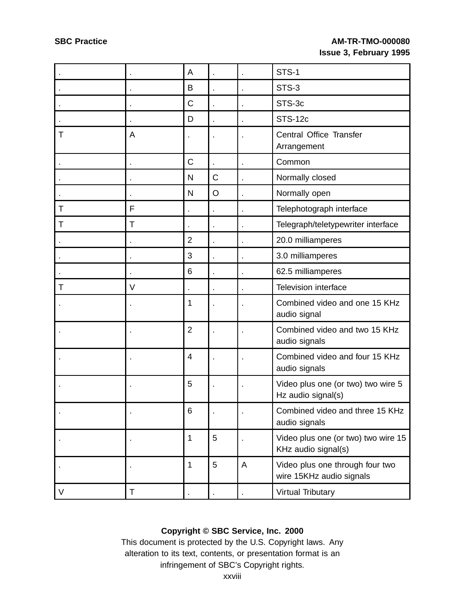|   |   | A              |                |   | STS-1                                                       |
|---|---|----------------|----------------|---|-------------------------------------------------------------|
|   |   | B              |                |   | STS-3                                                       |
|   |   | C              |                |   | STS-3c                                                      |
|   |   | D              |                |   | <b>STS-12c</b>                                              |
| Τ | A |                |                |   | Central Office Transfer<br>Arrangement                      |
|   |   | C              |                |   | Common                                                      |
|   |   | $\mathsf{N}$   | $\mathsf C$    |   | Normally closed                                             |
|   |   | N              | $\circ$        |   | Normally open                                               |
| Τ | F |                | $\blacksquare$ |   | Telephotograph interface                                    |
| Τ | Τ |                |                |   | Telegraph/teletypewriter interface                          |
|   |   | $\overline{2}$ |                |   | 20.0 milliamperes                                           |
|   |   | 3              | k,             |   | 3.0 milliamperes                                            |
|   |   | 6              | ×              |   | 62.5 milliamperes                                           |
| т | V | ä,             |                |   | <b>Television interface</b>                                 |
|   |   | 1              |                |   | Combined video and one 15 KHz<br>audio signal               |
|   |   | $\overline{2}$ |                |   | Combined video and two 15 KHz<br>audio signals              |
|   |   | 4              |                |   | Combined video and four 15 KHz<br>audio signals             |
|   |   | 5              |                |   | Video plus one (or two) two wire 5<br>Hz audio signal(s)    |
|   |   | 6              |                |   | Combined video and three 15 KHz<br>audio signals            |
|   |   | 1              | 5              |   | Video plus one (or two) two wire 15<br>KHz audio signal(s)  |
|   |   | 1              | 5              | A | Video plus one through four two<br>wire 15KHz audio signals |
| V | Τ |                |                |   | <b>Virtual Tributary</b>                                    |

## **Copyright © SBC Service, Inc. 2000**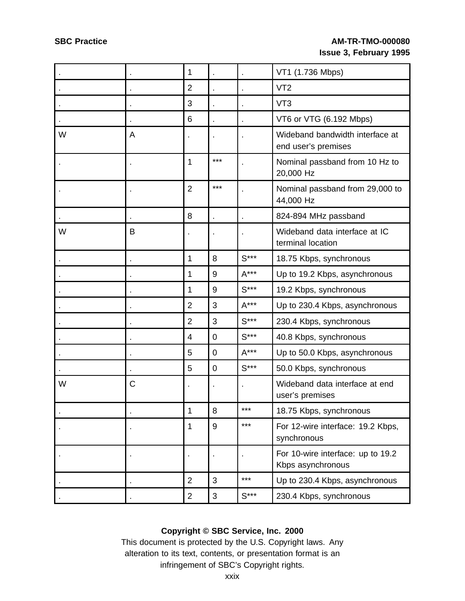|   |   | 1              |                |        | VT1 (1.736 Mbps)                                       |
|---|---|----------------|----------------|--------|--------------------------------------------------------|
|   |   | $\overline{2}$ |                |        | VT <sub>2</sub>                                        |
|   |   | 3              |                |        | VT <sub>3</sub>                                        |
|   |   | 6              |                |        | VT6 or VTG (6.192 Mbps)                                |
| W | Α |                |                |        | Wideband bandwidth interface at<br>end user's premises |
|   |   | 1              | $***$          |        | Nominal passband from 10 Hz to<br>20,000 Hz            |
|   |   | $\overline{2}$ | $***$          |        | Nominal passband from 29,000 to<br>44,000 Hz           |
|   |   | 8              |                |        | 824-894 MHz passband                                   |
| W | B |                |                |        | Wideband data interface at IC<br>terminal location     |
|   |   | 1              | 8              | $S***$ | 18.75 Kbps, synchronous                                |
|   |   | 1              | 9              | $A***$ | Up to 19.2 Kbps, asynchronous                          |
|   |   | 1              | 9              | $S***$ | 19.2 Kbps, synchronous                                 |
|   |   | $\overline{2}$ | 3              | $A***$ | Up to 230.4 Kbps, asynchronous                         |
|   |   | $\overline{2}$ | 3              | $S***$ | 230.4 Kbps, synchronous                                |
|   |   | $\overline{4}$ | $\mathbf 0$    | $S***$ | 40.8 Kbps, synchronous                                 |
|   |   | 5              | $\overline{0}$ | $A***$ | Up to 50.0 Kbps, asynchronous                          |
|   |   | 5              | $\overline{0}$ | $S***$ | 50.0 Kbps, synchronous                                 |
| W | C |                |                |        | Wideband data interface at end<br>user's premises      |
|   |   | 1              | 8              | ***    | 18.75 Kbps, synchronous                                |
|   |   | 1              | 9              | $***$  | For 12-wire interface: 19.2 Kbps,<br>synchronous       |
|   |   |                |                |        | For 10-wire interface: up to 19.2<br>Kbps asynchronous |
|   |   | $\overline{2}$ | 3              | $***$  | Up to 230.4 Kbps, asynchronous                         |
|   |   | $\overline{2}$ | $\mathfrak{B}$ | $S***$ | 230.4 Kbps, synchronous                                |

## **Copyright © SBC Service, Inc. 2000**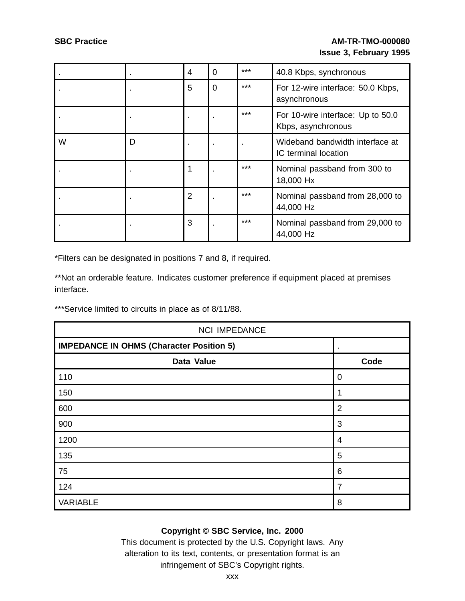|   |   | 4              | $\Omega$ | $***$ | 40.8 Kbps, synchronous                                  |
|---|---|----------------|----------|-------|---------------------------------------------------------|
|   |   | 5              | 0        | ***   | For 12-wire interface: 50.0 Kbps,<br>asynchronous       |
|   |   |                |          | $***$ | For 10-wire interface: Up to 50.0<br>Kbps, asynchronous |
| W | D |                |          |       | Wideband bandwidth interface at<br>IC terminal location |
|   |   |                |          | $***$ | Nominal passband from 300 to<br>18,000 Hx               |
|   |   | $\overline{2}$ |          | $***$ | Nominal passband from 28,000 to<br>44,000 Hz            |
|   |   | 3              |          | $***$ | Nominal passband from 29,000 to<br>44,000 Hz            |

\*Filters can be designated in positions 7 and 8, if required.

\*\*Not an orderable feature. Indicates customer preference if equipment placed at premises interface.

\*\*\*Service limited to circuits in place as of 8/11/88.

| <b>NCI IMPEDANCE</b>                            |                |  |  |  |  |  |
|-------------------------------------------------|----------------|--|--|--|--|--|
| <b>IMPEDANCE IN OHMS (Character Position 5)</b> |                |  |  |  |  |  |
| Data Value                                      | Code           |  |  |  |  |  |
| 110                                             | 0              |  |  |  |  |  |
| 150                                             |                |  |  |  |  |  |
| 600                                             | $\overline{2}$ |  |  |  |  |  |
| 900                                             | 3              |  |  |  |  |  |
| 1200                                            | 4              |  |  |  |  |  |
| 135                                             | 5              |  |  |  |  |  |
| 75                                              | 6              |  |  |  |  |  |
| 124                                             | 7              |  |  |  |  |  |
| <b>VARIABLE</b>                                 | 8              |  |  |  |  |  |

## **Copyright © SBC Service, Inc. 2000**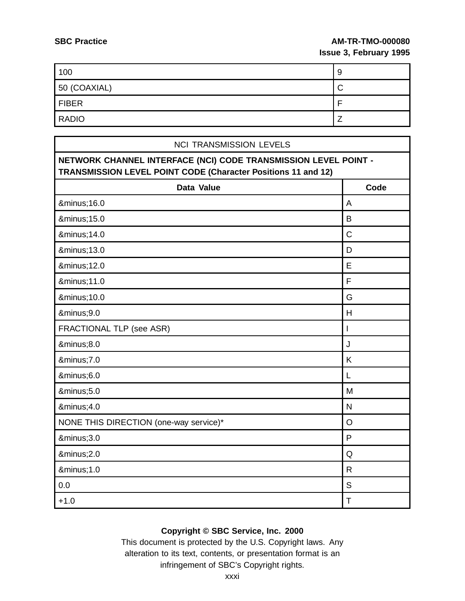г

### **SBC Practice AM-TR-TMO-000080 Issue 3, February 1995**

| 100          | 9      |
|--------------|--------|
| 50 (COAXIAL) | ⌒<br>◡ |
| <b>FIBER</b> |        |
| <b>RADIO</b> |        |

| <b>NCI TRANSMISSION LEVELS</b>                                                                                                          |              |
|-----------------------------------------------------------------------------------------------------------------------------------------|--------------|
| NETWORK CHANNEL INTERFACE (NCI) CODE TRANSMISSION LEVEL POINT -<br><b>TRANSMISSION LEVEL POINT CODE (Character Positions 11 and 12)</b> |              |
| Data Value                                                                                                                              | Code         |
| −16.0                                                                                                                                   | A            |
| −15.0                                                                                                                                   | B            |
| −14.0                                                                                                                                   | $\mathsf C$  |
| −13.0                                                                                                                                   | D            |
| −12.0                                                                                                                                   | E            |
| −11.0                                                                                                                                   | F            |
| −10.0                                                                                                                                   | G            |
| −9.0                                                                                                                                    | H            |
| FRACTIONAL TLP (see ASR)                                                                                                                | $\mathsf{I}$ |
| −8.0                                                                                                                                    | J            |
| −7.0                                                                                                                                    | K            |
| −6.0                                                                                                                                    | L            |
| −5.0                                                                                                                                    | M            |
| −4.0                                                                                                                                    | $\mathsf{N}$ |
| NONE THIS DIRECTION (one-way service)*                                                                                                  | $\circ$      |
| −3.0                                                                                                                                    | P            |
| −2.0                                                                                                                                    | Q            |
| −1.0                                                                                                                                    | $\mathsf{R}$ |
| 0.0                                                                                                                                     | S            |
| $+1.0$                                                                                                                                  | $\mathsf T$  |

## **Copyright © SBC Service, Inc. 2000**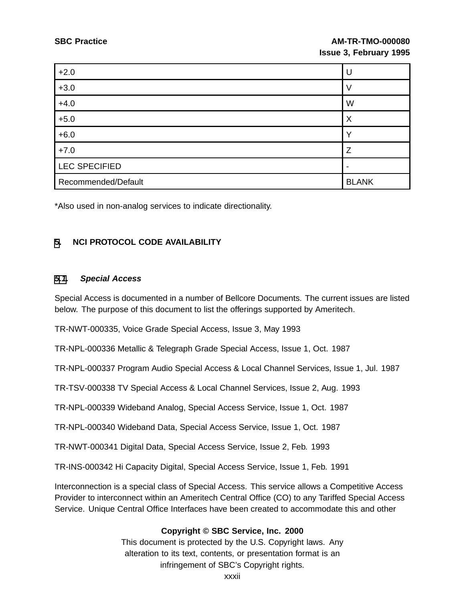| $+2.0$              | U            |
|---------------------|--------------|
| $+3.0$              | V            |
| $+4.0$              | W            |
| $+5.0$              | Χ            |
| $+6.0$              |              |
| $+7.0$              | 7            |
| LEC SPECIFIED       |              |
| Recommended/Default | <b>BLANK</b> |

\*Also used in non-analog services to indicate directionality.

#### **[5](#page-31-0). NCI PROTOCOL CODE AVAILABILITY**

#### **[5.1](#page-31-0). Special Access**

Special Access is documented in a number of Bellcore Documents. The current issues are listed below. The purpose of this document to list the offerings supported by Ameritech.

TR-NWT-000335, Voice Grade Special Access, Issue 3, May 1993

TR-NPL-000336 Metallic & Telegraph Grade Special Access, Issue 1, Oct. 1987

TR-NPL-000337 Program Audio Special Access & Local Channel Services, Issue 1, Jul. 1987

TR-TSV-000338 TV Special Access & Local Channel Services, Issue 2, Aug. 1993

TR-NPL-000339 Wideband Analog, Special Access Service, Issue 1, Oct. 1987

TR-NPL-000340 Wideband Data, Special Access Service, Issue 1, Oct. 1987

TR-NWT-000341 Digital Data, Special Access Service, Issue 2, Feb. 1993

TR-INS-000342 Hi Capacity Digital, Special Access Service, Issue 1, Feb. 1991

<span id="page-31-0"></span>Interconnection is a special class of Special Access. This service allows a Competitive Access Provider to interconnect within an Ameritech Central Office (CO) to any Tariffed Special Access Service. Unique Central Office Interfaces have been created to accommodate this and other

#### **Copyright © SBC Service, Inc. 2000**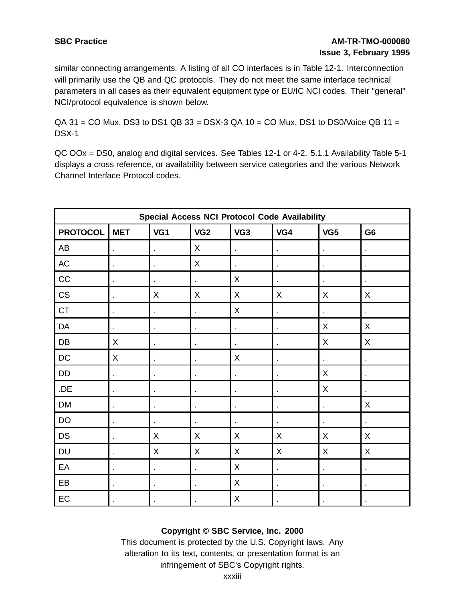similar connecting arrangements. A listing of all CO interfaces is in Table 12-1. Interconnection will primarily use the QB and QC protocols. They do not meet the same interface technical parameters in all cases as their equivalent equipment type or EU/IC NCI codes. Their "general" NCI/protocol equivalence is shown below.

 $QA$  31 = CO Mux, DS3 to DS1 QB 33 = DSX-3 QA 10 = CO Mux, DS1 to DS0/Voice QB 11 = DSX-1

QC OOx = DS0, analog and digital services. See Tables 12-1 or 4-2. 5.1.1 Availability Table 5-1 displays a cross reference, or availability between service categories and the various Network Channel Interface Protocol codes.

|                 | <b>Special Access NCI Protocol Code Availability</b> |                |                 |                 |                |                |                |  |
|-----------------|------------------------------------------------------|----------------|-----------------|-----------------|----------------|----------------|----------------|--|
| <b>PROTOCOL</b> | <b>MET</b>                                           | VG1            | VG <sub>2</sub> | VG <sub>3</sub> | VG4            | VG5            | G <sub>6</sub> |  |
| AB              | k,                                                   | à.             | X               | ä,              | $\blacksquare$ | ä,             | ä,             |  |
| AC              | $\epsilon$                                           | à.             | X               | t,              | $\blacksquare$ | ×,             | ä,             |  |
| CC              | $\blacksquare$                                       | ä,             | $\blacksquare$  | X               | ä,             | $\blacksquare$ |                |  |
| CS              | $\blacksquare$                                       | X              | X               | $\sf X$         | X              | X              | X              |  |
| <b>CT</b>       | $\blacksquare$                                       | $\blacksquare$ | $\bullet$       | X               | $\epsilon$     | ä,             | ä,             |  |
| DA              | $\blacksquare$                                       | $\blacksquare$ | $\blacksquare$  | $\blacksquare$  | ¥,             | X              | Χ              |  |
| DB              | X                                                    | $\blacksquare$ | $\bullet$       | $\blacksquare$  | $\blacksquare$ | X              | Χ              |  |
| DC              | X                                                    | $\blacksquare$ | $\bullet$       | X               | $\blacksquare$ | $\blacksquare$ | $\blacksquare$ |  |
| DD              | $\hat{\mathbf{r}}$                                   | $\blacksquare$ | $\blacksquare$  | $\blacksquare$  | $\blacksquare$ | X              | $\blacksquare$ |  |
| .DE             | $\bullet$                                            | $\blacksquare$ | $\blacksquare$  | $\blacksquare$  | $\blacksquare$ | X              | $\blacksquare$ |  |
| <b>DM</b>       | $\blacksquare$                                       | $\blacksquare$ | $\blacksquare$  | ä,              | $\blacksquare$ | $\blacksquare$ | X              |  |
| DO              | ä,                                                   | ×,             | ×,              |                 | ä,             |                |                |  |
| <b>DS</b>       | $\blacksquare$                                       | X              | X               | X               | X              | X              | Χ              |  |
| <b>DU</b>       | $\epsilon$                                           | X              | X               | X               | X              | X              | X              |  |
| EA              | $\epsilon$                                           | $\blacksquare$ | ä,              | X               | ¥,             | ×,             | ä,             |  |
| EB              | $\blacksquare$                                       | $\blacksquare$ | $\blacksquare$  | X               | ¥,             | $\blacksquare$ | ä,             |  |
| EC              |                                                      |                | ٠               | Χ               | $\blacksquare$ |                | $\blacksquare$ |  |

#### **Copyright © SBC Service, Inc. 2000**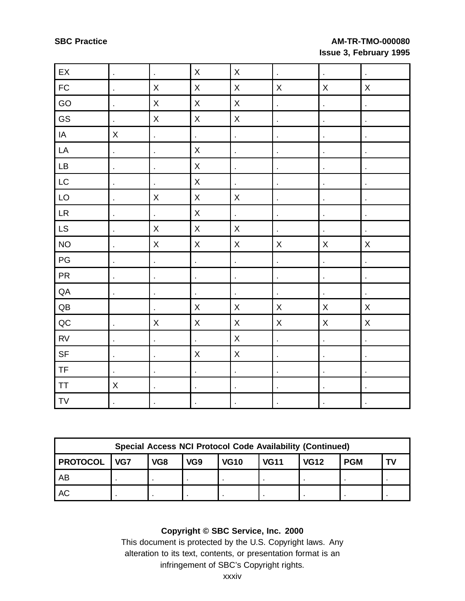| $\mathsf{E}\mathsf{X}$                           | $\hat{\mathbf{r}}$   | $\hat{\mathbf{r}}$       | $\mathsf X$              | $\mathsf X$             | $\hat{\mathbf{r}}$       | $\bar{\mathcal{E}}$      | $\ddot{\phantom{1}}$     |
|--------------------------------------------------|----------------------|--------------------------|--------------------------|-------------------------|--------------------------|--------------------------|--------------------------|
| ${\sf FC}$                                       | $\blacksquare$       | $\mathsf X$              | $\mathsf X$              | $\mathsf{X}% _{0}$      | $\mathsf{X}$             | $\mathsf X$              | $\mathsf X$              |
| GO                                               | ä,                   | $\sf X$                  | $\mathsf{X}% _{0}$       | $\mathsf{X}% _{0}$      | $\overline{\phantom{a}}$ | $\ddot{\phantom{0}}$     | ÷,                       |
| GS                                               | ä,                   | $\mathsf X$              | $\mathsf X$              | $\mathsf X$             | $\Box$                   | $\overline{\phantom{a}}$ | $\ddot{\phantom{a}}$     |
| IA                                               | $\mathsf X$          | ä,                       | $\blacksquare$           | l,                      | $\blacksquare$           | $\blacksquare$           | $\ddot{\phantom{1}}$     |
| ${\sf LA}$                                       | $\hat{\mathbf{r}}$   | $\blacksquare$           | $\mathsf{X}% _{0}$       | $\ddot{\phantom{0}}$    | $\blacksquare$           | $\overline{\phantom{a}}$ | $\overline{\phantom{a}}$ |
| $\mathsf{LB}\xspace$                             | ł,                   | $\ddot{\phantom{0}}$     | $\mathsf X$              | $\ddot{\phantom{0}}$    | $\blacksquare$           | $\blacksquare$           | $\overline{\phantom{a}}$ |
| LC                                               | $\hat{\mathbf{r}}$   | $\blacksquare$           | $\mathsf X$              | $\Box$                  | $\blacksquare$           | $\hat{\mathbf{r}}$       | $\blacksquare$           |
| LO                                               | l,                   | $\mathsf X$              | $\mathsf X$              | $\mathsf{X}% _{0}$      | $\blacksquare$           | l,                       | $\blacksquare$           |
| ${\sf LR}$                                       | $\hat{\mathbf{r}}$   | ä,                       | $\mathsf X$              | $\mathbb{Z}^2$          | $\blacksquare$           | $\blacksquare$           | $\blacksquare$           |
| LS                                               | $\hat{\mathbf{r}}$   | $\mathsf X$              | $\mathsf X$              | $\overline{\mathsf{X}}$ | $\blacksquare$           | $\overline{\phantom{a}}$ | $\overline{\phantom{a}}$ |
| <b>NO</b>                                        | l,                   | $\mathsf{X}% _{0}$       | $\mathsf{X}% _{0}$       | X                       | $\mathsf X$              | $\mathsf X$              | $\mathsf X$              |
| $\mathsf{PG}$                                    | $\blacksquare$       | í,                       | $\overline{\mathcal{C}}$ | $\ddot{\phantom{0}}$    | $\ddot{\phantom{0}}$     | ł,                       | $\ddot{\phantom{0}}$     |
| ${\sf PR}$                                       | $\hat{\mathbf{r}}$   | ł,                       | $\blacksquare$           | Ļ,                      | $\blacksquare$           | $\hat{\mathcal{L}}$      | $\Box$                   |
| $\sf QA$                                         | $\ddot{\phantom{a}}$ | $\overline{\phantom{a}}$ | $\bar{\mathbf{r}}$       | $\ddot{\phantom{a}}$    | $\ddot{\phantom{a}}$     | $\hat{\mathbf{r}}$       | $\ddot{\phantom{a}}$     |
| $\mathsf{Q}\mathsf{B}$                           |                      | ä,                       | $\mathsf X$              | $\mathsf X$             | $\mathsf X$              | $\mathsf X$              | $\mathsf X$              |
| ${\sf QC}$                                       | ä,                   | $\mathsf X$              | $\mathsf X$              | $\mathsf{X}% _{0}$      | $\pmb{\times}$           | $\mathsf X$              | $\mathsf X$              |
| RV                                               | $\hat{\mathbf{r}}$   | $\blacksquare$           | $\hat{\mathbf{r}}$       | $\mathsf{X}% _{0}$      | $\hat{\mathcal{L}}$      | $\hat{\mathbf{r}}$       | $\blacksquare$           |
| $\ensuremath{\mathsf{SF}}\xspace$                | $\blacksquare$       | $\blacksquare$           | $\mathsf X$              | $\mathsf X$             | $\blacksquare$           | $\ddot{\phantom{0}}$     | $\blacksquare$           |
| <b>TF</b>                                        | $\blacksquare$       | $\blacksquare$           | $\blacksquare$           | Ċ,                      | $\blacksquare$           | $\blacksquare$           | $\blacksquare$           |
| $\ensuremath{\mathsf{T}}\ensuremath{\mathsf{T}}$ | $\mathsf X$          | t,                       | $\blacksquare$           | $\ddot{\phantom{0}}$    | $\blacksquare$           | $\overline{\phantom{a}}$ | $\overline{\phantom{a}}$ |
| ${\sf TV}$                                       |                      |                          | $\blacksquare$           | l,                      |                          |                          |                          |

| <b>Special Access NCI Protocol Code Availability (Continued)</b> |     |     |                 |             |             |             |            |  |  |  |
|------------------------------------------------------------------|-----|-----|-----------------|-------------|-------------|-------------|------------|--|--|--|
| <b>PROTOCOL</b>                                                  | VG7 | VG8 | VG <sub>9</sub> | <b>VG10</b> | <b>VG11</b> | <b>VG12</b> | <b>PGM</b> |  |  |  |
| AB                                                               |     |     |                 |             |             |             |            |  |  |  |
| <b>AC</b>                                                        |     |     |                 |             |             |             |            |  |  |  |

## **Copyright © SBC Service, Inc. 2000**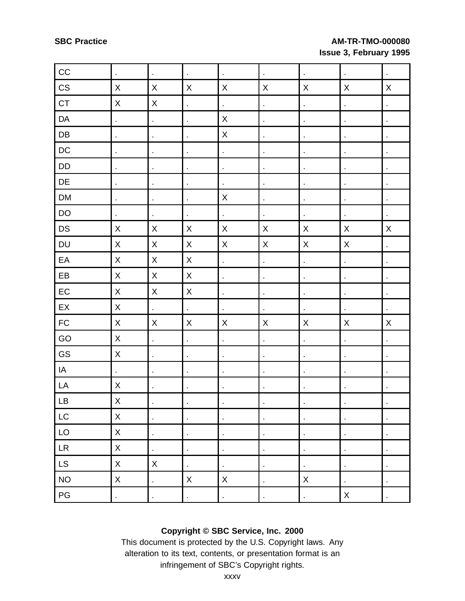| CC                         | $\blacksquare$                                      | $\blacksquare$ | $\hat{\mathbf{r}}$       | $\epsilon$         | $\ddot{\phantom{0}}$     | $\hat{\mathbf{r}}$        | $\blacksquare$       | $\blacksquare$ |
|----------------------------|-----------------------------------------------------|----------------|--------------------------|--------------------|--------------------------|---------------------------|----------------------|----------------|
| $\mathbb{C}\mathbb{S}$     | $\mathsf X$                                         | $\mathsf X$    | X                        | $\pmb{\times}$     | $\pmb{\times}$           | X                         | $\pmb{\times}$       | $\mathsf X$    |
| CT                         | Χ                                                   | $\mathsf X$    | $\blacksquare$           | $\hat{\mathbf{r}}$ | l,                       | $\blacksquare$            | $\blacksquare$       |                |
| DA                         | $\blacksquare$                                      | $\mathbf{r}$   | ä,                       | $\mathsf X$        | $\overline{\phantom{a}}$ | $\bar{1}$                 | $\blacksquare$       | l,             |
| ${\sf DB}$                 |                                                     | $\blacksquare$ | $\blacksquare$           | $\mathsf X$        | $\blacksquare$           | $\blacksquare$            | $\blacksquare$       |                |
| $\mathsf{DC}$              | $\blacksquare$                                      | $\blacksquare$ | $\hat{\mathbf{r}}$       | $\hat{\mathbf{r}}$ | $\blacksquare$           | $\blacksquare$            | $\blacksquare$       | ×              |
| DD                         |                                                     | $\blacksquare$ | $\hat{\mathbf{r}}$       | $\blacksquare$     | $\blacksquare$           | $\blacksquare$            | ä,                   |                |
| DE                         | $\blacksquare$                                      | $\blacksquare$ | $\hat{\mathbf{r}}$       | $\blacksquare$     | $\blacksquare$           | $\blacksquare$            | $\blacksquare$       | $\blacksquare$ |
| DM                         | $\ddot{\phantom{0}}$                                | $\blacksquare$ | ł,                       | $\mathsf X$        | $\overline{\phantom{a}}$ | $\epsilon$                | $\blacksquare$       |                |
| DO                         |                                                     | $\bullet$      | $\ddot{\phantom{0}}$     | $\blacksquare$     | $\ddot{\phantom{0}}$     | $\epsilon$                | $\cdot$              | $\blacksquare$ |
| DS                         | $\mathsf X$                                         | $\mathsf X$    | $\mathsf X$              | $\pmb{\times}$     | $\mathsf X$              | $\boldsymbol{\mathsf{X}}$ | $\mathsf X$          | X              |
| DU                         | $\mathsf{X}% _{0}$                                  | $\mathsf X$    | $\mathsf X$              | $\mathsf X$        | $\mathsf X$              | $\mathsf X$               | $\mathsf X$          | $\blacksquare$ |
| EA                         | X                                                   | $\mathsf X$    | $\mathsf X$              | $\epsilon$         | $\overline{\phantom{a}}$ | $\epsilon$                | ä,                   |                |
| EB                         | $\mathsf{X}% _{0}^{\prime}=\mathsf{X}_{0}^{\prime}$ | $\mathsf X$    | $\mathsf X$              | $\blacksquare$     | $\blacksquare$           | $\bullet$                 | $\blacksquare$       |                |
| ${\sf EC}$                 | $\sf X$                                             | $\mathsf X$    | $\mathsf X$              | $\blacksquare$     | $\hat{\mathbf{r}}$       | $\blacksquare$            | $\blacksquare$       | $\blacksquare$ |
| EX                         | $\mathsf X$                                         | $\blacksquare$ | $\hat{\mathbf{r}}$       | ¥,                 | $\overline{\phantom{a}}$ |                           | $\blacksquare$       | ä,             |
| ${\sf FC}$                 | X                                                   | $\mathsf X$    | $\mathsf X$              | $\mathsf X$        | $\mathsf X$              | $\pmb{\times}$            | $\mathsf X$          | $\mathsf X$    |
| GO                         | X                                                   | $\Box$         | l,                       | l,                 | $\ddot{\phantom{a}}$     | $\blacksquare$            |                      |                |
| GS                         | $\mathsf X$                                         | $\blacksquare$ | $\blacksquare$           | $\blacksquare$     | ÷,                       | $\ddot{\phantom{a}}$      | $\blacksquare$       | $\blacksquare$ |
| IA                         | $\blacksquare$                                      | $\blacksquare$ | $\blacksquare$           |                    | J,                       | ×                         |                      |                |
| LA                         | X                                                   | $\blacksquare$ | $\blacksquare$           | $\blacksquare$     | $\blacksquare$           | $\blacksquare$            | $\blacksquare$       |                |
| $\mathsf{L}\mathsf{B}$     | $\mathsf X$                                         |                |                          |                    |                          |                           |                      |                |
| LC                         | $\mathsf X$                                         | $\blacksquare$ | $\blacksquare$           | $\blacksquare$     | $\blacksquare$           | $\blacksquare$            | $\blacksquare$       | $\blacksquare$ |
| LO                         | $\mathsf X$                                         | $\blacksquare$ | $\blacksquare$           | $\blacksquare$     | ÷,                       | $\blacksquare$            | $\ddot{\phantom{0}}$ |                |
| ${\sf LR}$                 | X                                                   | $\blacksquare$ | $\blacksquare$           |                    | $\blacksquare$           | $\epsilon$                | $\blacksquare$       | ł,             |
| $\ensuremath{\mathsf{LS}}$ | $\mathsf X$                                         | $\mathsf X$    | $\blacksquare$           | $\blacksquare$     |                          | $\blacksquare$            |                      | $\blacksquare$ |
| $NO$                       | $\mathsf X$                                         | $\blacksquare$ | $\mathsf X$              | $\pmb{\times}$     | $\cdot$                  | $\boldsymbol{\mathsf{X}}$ | $\cdot$              | ł,             |
| $\mathsf{PG}$              | l,                                                  | $\blacksquare$ | $\overline{\phantom{a}}$ | l,                 | l,                       | l,                        | $\pmb{\mathsf{X}}$   | l,             |

## **Copyright © SBC Service, Inc. 2000**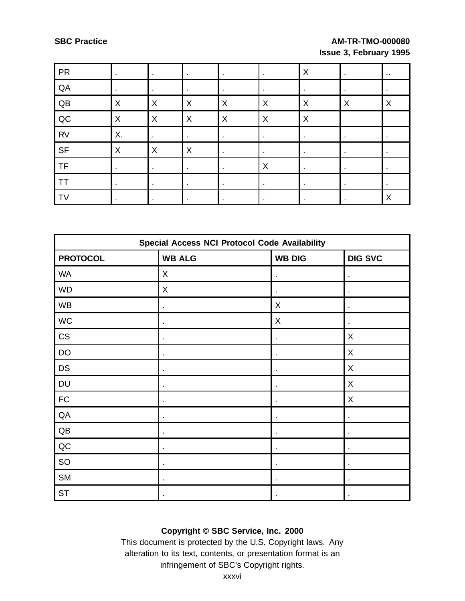| <b>PR</b> |    |   |         |   |                           | $\boldsymbol{\mathsf{X}}$ |   | $\sim$ |
|-----------|----|---|---------|---|---------------------------|---------------------------|---|--------|
| QA        |    |   |         |   |                           |                           |   |        |
| QB        | X  | X | X       | X | X                         | X                         | X | X      |
| QC        | X  | X | $\sf X$ | X | $\times$                  | $\boldsymbol{\mathsf{X}}$ |   |        |
| <b>RV</b> | Χ. |   |         |   |                           |                           |   |        |
| <b>SF</b> | X  | X | X       |   |                           |                           |   |        |
| <b>TF</b> |    |   |         |   | $\boldsymbol{\mathsf{X}}$ |                           | ٠ |        |
| <b>TT</b> |    |   |         |   |                           |                           |   |        |
| <b>TV</b> |    |   |         |   |                           |                           | ٠ | X      |

| <b>Special Access NCI Protocol Code Availability</b> |                |                |                |  |  |  |
|------------------------------------------------------|----------------|----------------|----------------|--|--|--|
| <b>PROTOCOL</b>                                      | <b>WB ALG</b>  | <b>WB DIG</b>  | <b>DIG SVC</b> |  |  |  |
| <b>WA</b>                                            | X              | ×              | ٠              |  |  |  |
| <b>WD</b>                                            | X              | $\blacksquare$ | $\blacksquare$ |  |  |  |
| <b>WB</b>                                            |                | X              | $\blacksquare$ |  |  |  |
| WC                                                   |                | X              | ٠              |  |  |  |
| CS                                                   |                |                | X              |  |  |  |
| DO                                                   |                | $\blacksquare$ | X              |  |  |  |
| <b>DS</b>                                            | $\blacksquare$ | ×              | X              |  |  |  |
| DU                                                   |                |                | X              |  |  |  |
| <b>FC</b>                                            |                | $\blacksquare$ | X              |  |  |  |
| QA                                                   |                |                |                |  |  |  |
| QB                                                   |                | $\blacksquare$ | ٠              |  |  |  |
| QC                                                   | $\blacksquare$ | $\blacksquare$ | $\bullet$      |  |  |  |
| SO                                                   |                |                |                |  |  |  |
| <b>SM</b>                                            |                | $\blacksquare$ | $\bullet$      |  |  |  |
| <b>ST</b>                                            |                |                |                |  |  |  |

## **Copyright © SBC Service, Inc. 2000**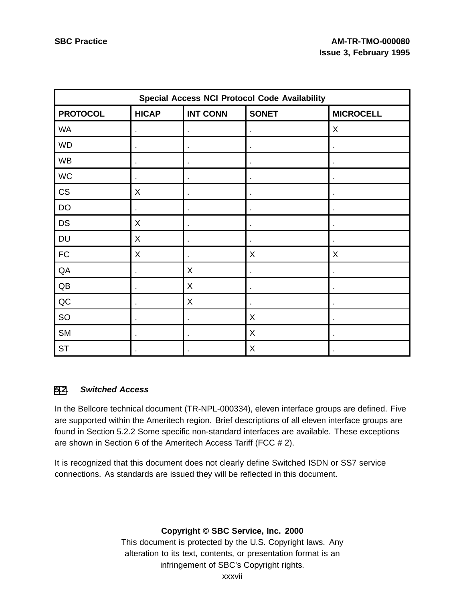| <b>Special Access NCI Protocol Code Availability</b> |              |                 |                |                  |  |
|------------------------------------------------------|--------------|-----------------|----------------|------------------|--|
| <b>PROTOCOL</b>                                      | <b>HICAP</b> | <b>INT CONN</b> | <b>SONET</b>   | <b>MICROCELL</b> |  |
| <b>WA</b>                                            |              | ×               |                | X                |  |
| <b>WD</b>                                            |              |                 |                |                  |  |
| <b>WB</b>                                            | ×            | $\blacksquare$  | $\blacksquare$ | ٠                |  |
| WC                                                   |              |                 |                |                  |  |
| CS                                                   | X            | ٠               | ٠              |                  |  |
| DO                                                   |              |                 |                |                  |  |
| <b>DS</b>                                            | X            |                 | ٠              |                  |  |
| <b>DU</b>                                            | X            | ×               | $\blacksquare$ |                  |  |
| <b>FC</b>                                            | X            |                 | X              | X                |  |
| QA                                                   |              | X               | $\blacksquare$ |                  |  |
| QB                                                   |              | X               |                |                  |  |
| QC                                                   | ×            | X               | $\blacksquare$ | ٠                |  |
| <b>SO</b>                                            |              | ×               | X              |                  |  |
| <b>SM</b>                                            |              |                 | X              |                  |  |
| <b>ST</b>                                            |              |                 | $\mathsf X$    |                  |  |

#### **[5](#page-31-0)[.2](#page-36-0). Switched Access**

In the Bellcore technical document (TR-NPL-000334), eleven interface groups are defined. Five are supported within the Ameritech region. Brief descriptions of all eleven interface groups are found in Section 5.2.2 Some specific non-standard interfaces are available. These exceptions are shown in Section 6 of the Ameritech Access Tariff (FCC # 2).

<span id="page-36-0"></span>It is recognized that this document does not clearly define Switched ISDN or SS7 service connections. As standards are issued they will be reflected in this document.

## **Copyright © SBC Service, Inc. 2000**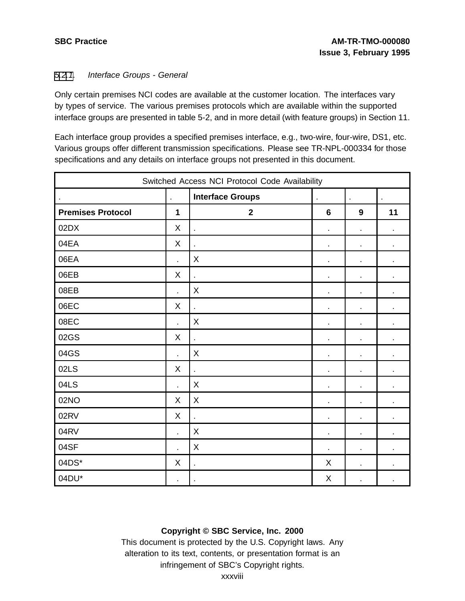#### [5](#page-31-0)[.2](#page-36-0)[.1](#page-37-0). Interface Groups - General

Only certain premises NCI codes are available at the customer location. The interfaces vary by types of service. The various premises protocols which are available within the supported interface groups are presented in table 5-2, and in more detail (with feature groups) in Section 11.

Each interface group provides a specified premises interface, e.g., two-wire, four-wire, DS1, etc. Various groups offer different transmission specifications. Please see TR-NPL-000334 for those specifications and any details on interface groups not presented in this document.

| Switched Access NCI Protocol Code Availability                                                        |                |                          |                 |                |                          |  |
|-------------------------------------------------------------------------------------------------------|----------------|--------------------------|-----------------|----------------|--------------------------|--|
| <b>Interface Groups</b><br>$\mathbf{r}$<br>$\mathbf{r}$<br>$\epsilon$<br>$\epsilon$<br>$\blacksquare$ |                |                          |                 |                |                          |  |
| <b>Premises Protocol</b>                                                                              | $\mathbf 1$    | $\mathbf{2}$             | $6\phantom{1}6$ | 9              | 11                       |  |
| 02DX                                                                                                  | X              | ä,                       | $\blacksquare$  | $\blacksquare$ |                          |  |
| 04EA                                                                                                  | X              |                          | ä,              | ä,             | ä,                       |  |
| 06EA                                                                                                  | ä,             | X                        | $\blacksquare$  | $\blacksquare$ | $\overline{\phantom{a}}$ |  |
| 06EB                                                                                                  | X              | $\overline{a}$           | $\blacksquare$  | $\blacksquare$ |                          |  |
| 08EB                                                                                                  | l,             | X                        | ä,              | ä,             |                          |  |
| 06EC                                                                                                  | X              | t.                       | $\blacksquare$  | $\blacksquare$ | ä,                       |  |
| 08EC                                                                                                  | l,             | X                        | ä,              | ä,             | ä,                       |  |
| 02GS                                                                                                  | X              | $\overline{\phantom{a}}$ | $\blacksquare$  | $\blacksquare$ | $\blacksquare$           |  |
| 04GS                                                                                                  | l,             | X                        | $\blacksquare$  | ä,             | $\blacksquare$           |  |
| 02LS                                                                                                  | X              |                          | $\blacksquare$  | $\blacksquare$ |                          |  |
| 04LS                                                                                                  | $\overline{a}$ | X                        | $\blacksquare$  | $\blacksquare$ | $\blacksquare$           |  |
| 02NO                                                                                                  | X              | X                        | $\blacksquare$  | ä,             |                          |  |
| 02RV                                                                                                  | X              | t.                       | $\blacksquare$  | ×,             |                          |  |
| 04RV                                                                                                  | L.             | X                        | $\blacksquare$  | ä,             | $\blacksquare$           |  |
| 04SF                                                                                                  | l,             | X                        | $\blacksquare$  | $\blacksquare$ | $\blacksquare$           |  |
| 04DS*                                                                                                 | X              | ä,                       | X               | ä,             | ä,                       |  |
| 04DU*                                                                                                 | ä,             | $\blacksquare$           | X               | $\blacksquare$ |                          |  |

## <span id="page-37-0"></span>**Copyright © SBC Service, Inc. 2000**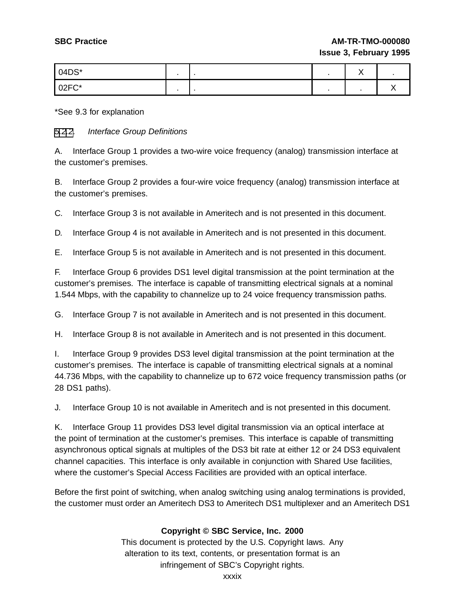| 04DS*   |  | $\ddot{\phantom{1}}$<br>. . |  |
|---------|--|-----------------------------|--|
| $02FC*$ |  |                             |  |

\*See 9.3 for explanation

#### [5](#page-31-0)[.2](#page-36-0)[.2](#page-38-0). Interface Group Definitions

A. Interface Group 1 provides a two-wire voice frequency (analog) transmission interface at the customer's premises.

B. Interface Group 2 provides a four-wire voice frequency (analog) transmission interface at the customer's premises.

C. Interface Group 3 is not available in Ameritech and is not presented in this document.

D. Interface Group 4 is not available in Ameritech and is not presented in this document.

E. Interface Group 5 is not available in Ameritech and is not presented in this document.

F. Interface Group 6 provides DS1 level digital transmission at the point termination at the customer's premises. The interface is capable of transmitting electrical signals at a nominal 1.544 Mbps, with the capability to channelize up to 24 voice frequency transmission paths.

G. Interface Group 7 is not available in Ameritech and is not presented in this document.

H. Interface Group 8 is not available in Ameritech and is not presented in this document.

I. Interface Group 9 provides DS3 level digital transmission at the point termination at the customer's premises. The interface is capable of transmitting electrical signals at a nominal 44.736 Mbps, with the capability to channelize up to 672 voice frequency transmission paths (or 28 DS1 paths).

J. Interface Group 10 is not available in Ameritech and is not presented in this document.

K. Interface Group 11 provides DS3 level digital transmission via an optical interface at the point of termination at the customer's premises. This interface is capable of transmitting asynchronous optical signals at multiples of the DS3 bit rate at either 12 or 24 DS3 equivalent channel capacities. This interface is only available in conjunction with Shared Use facilities, where the customer's Special Access Facilities are provided with an optical interface.

<span id="page-38-0"></span>Before the first point of switching, when analog switching using analog terminations is provided, the customer must order an Ameritech DS3 to Ameritech DS1 multiplexer and an Ameritech DS1

## **Copyright © SBC Service, Inc. 2000**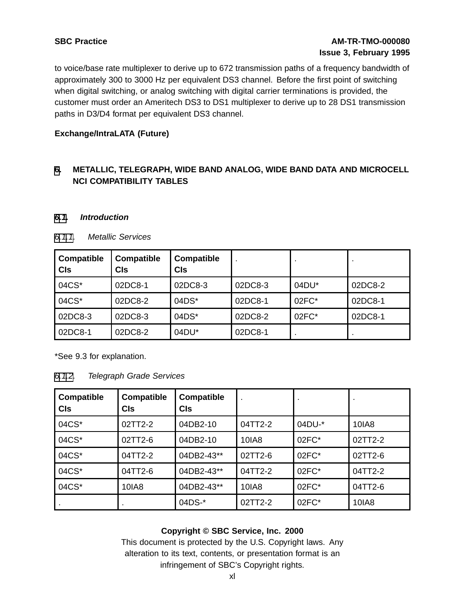to voice/base rate multiplexer to derive up to 672 transmission paths of a frequency bandwidth of approximately 300 to 3000 Hz per equivalent DS3 channel. Before the first point of switching when digital switching, or analog switching with digital carrier terminations is provided, the customer must order an Ameritech DS3 to DS1 multiplexer to derive up to 28 DS1 transmission paths in D3/D4 format per equivalent DS3 channel.

#### **Exchange/IntraLATA (Future)**

## **[6](#page-39-0). METALLIC, TELEGRAPH, WIDE BAND ANALOG, WIDE BAND DATA AND MICROCELL NCI COMPATIBILITY TABLES**

#### **[6.1](#page-39-0). Introduction**

| <b>Compatible</b><br><b>CIs</b> | <b>Compatible</b><br>Cls | <b>Compatible</b><br><b>CIs</b> |         |       |         |
|---------------------------------|--------------------------|---------------------------------|---------|-------|---------|
| 04CS*                           | 02DC8-1                  | 02DC8-3                         | 02DC8-3 | 04DU* | 02DC8-2 |
| 04CS*                           | 02DC8-2                  | $04DS*$                         | 02DC8-1 | 02FC* | 02DC8-1 |
| 02DC8-3                         | 02DC8-3                  | 04DS*                           | 02DC8-2 | 02FC* | 02DC8-1 |
| 02DC8-1                         | 02DC8-2                  | 04DU*                           | 02DC8-1 |       |         |

#### [6.1.1](#page-39-0). Metallic Services

\*See 9.3 for explanation.

[6.1.2](#page-39-0). Telegraph Grade Services

| Compatible<br><b>CIs</b> | <b>Compatible</b><br><b>CIs</b> | <b>Compatible</b><br><b>CIs</b> |         |         |         |
|--------------------------|---------------------------------|---------------------------------|---------|---------|---------|
| 04CS*                    | 02TT2-2                         | 04DB2-10                        | 04TT2-2 | 04DU-*  | 10IA8   |
| 04CS*                    | 02TT2-6                         | 04DB2-10                        | 10IA8   | $02FC*$ | 02TT2-2 |
| 04CS*                    | 04TT2-2                         | 04DB2-43**                      | 02TT2-6 | $02FC*$ | 02TT2-6 |
| 04CS*                    | 04TT2-6                         | 04DB2-43**                      | 04TT2-2 | $02FC*$ | 04TT2-2 |
| 04CS*                    | 10IA8                           | 04DB2-43**                      | 10IA8   | $02FC*$ | 04TT2-6 |
|                          |                                 | 04DS-*                          | 02TT2-2 | 02FC*   | 10IA8   |

## <span id="page-39-0"></span>**Copyright © SBC Service, Inc. 2000**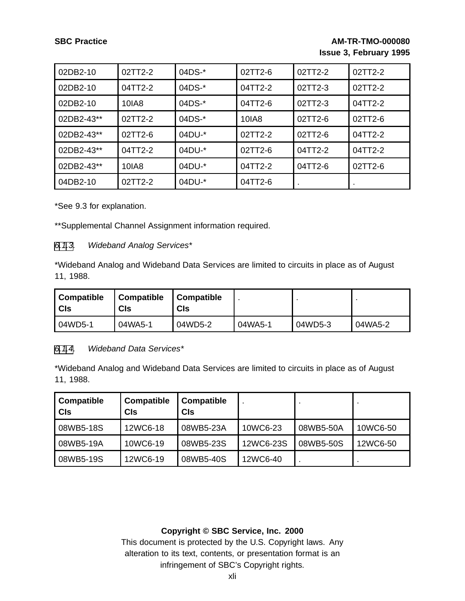| 02DB2-10   | $02TT2-2$ | 04DS-* | 02TT2-6 | 02TT2-2 | 02TT2-2 |
|------------|-----------|--------|---------|---------|---------|
| 02DB2-10   | 04TT2-2   | 04DS-* | 04TT2-2 | 02TT2-3 | 02TT2-2 |
| 02DB2-10   | 10IA8     | 04DS-* | 04TT2-6 | 02TT2-3 | 04TT2-2 |
| 02DB2-43** | 02TT2-2   | 04DS-* | 10IA8   | 02TT2-6 | 02TT2-6 |
| 02DB2-43** | 02TT2-6   | 04DU-* | 02TT2-2 | 02TT2-6 | 04TT2-2 |
| 02DB2-43** | 04TT2-2   | 04DU-* | 02TT2-6 | 04TT2-2 | 04TT2-2 |
| 02DB2-43** | 10IA8     | 04DU-* | 04TT2-2 | 04TT2-6 | 02TT2-6 |
| 04DB2-10   | 02TT2-2   | 04DU-* | 04TT2-6 |         |         |

\*See 9.3 for explanation.

\*\*Supplemental Channel Assignment information required.

#### [6.1](#page-39-0)[.3](#page-40-0). Wideband Analog Services\*

\*Wideband Analog and Wideband Data Services are limited to circuits in place as of August 11, 1988.

| <b>Compatible</b><br><b>CIs</b> | <b>Compatible</b><br><b>CIs</b> | <b>Compatible</b><br>CIs |         |         |         |
|---------------------------------|---------------------------------|--------------------------|---------|---------|---------|
| 04WD5-1                         | 04WA5-1                         | 04WD5-2                  | 04WA5-1 | 04WD5-3 | 04WA5-2 |

#### [6.1](#page-39-0)[.4](#page-40-0). Wideband Data Services\*

\*Wideband Analog and Wideband Data Services are limited to circuits in place as of August 11, 1988.

| <b>Compatible</b><br>  CIs | Compatible<br><b>CIs</b> | <b>Compatible</b><br><b>CIs</b> |           |           |          |
|----------------------------|--------------------------|---------------------------------|-----------|-----------|----------|
| 08WB5-18S                  | 12WC6-18                 | 08WB5-23A                       | 10WC6-23  | 08WB5-50A | 10WC6-50 |
| l 08WB5-19A                | 10WC6-19                 | 08WB5-23S                       | 12WC6-23S | 08WB5-50S | 12WC6-50 |
| 08WB5-19S                  | 12WC6-19                 | 08WB5-40S                       | 12WC6-40  |           |          |

#### <span id="page-40-0"></span>**Copyright © SBC Service, Inc. 2000**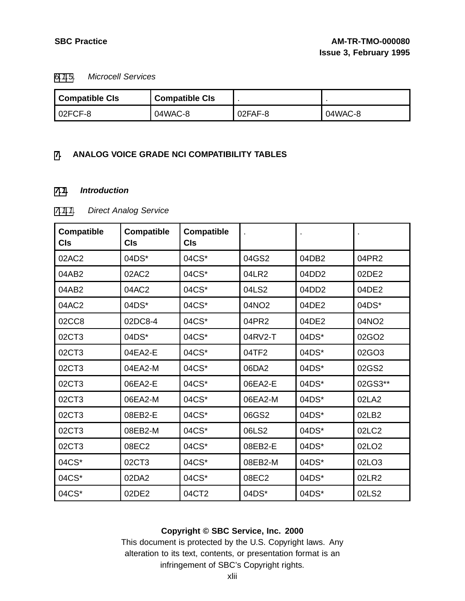#### [6.1](#page-39-0)[.5](#page-41-0). Microcell Services

| <b>Compatible CIs</b> | <b>Compatible CIs</b> |         |         |
|-----------------------|-----------------------|---------|---------|
| 02FCF-8               | 04WAC-8               | 02FAF-8 | 04WAC-8 |

#### **[7](#page-41-0). ANALOG VOICE GRADE NCI COMPATIBILITY TABLES**

#### **[7.1](#page-41-0). Introduction**

## [7.1.1](#page-41-0). Direct Analog Service

| <b>Compatible</b><br><b>CIs</b> | <b>Compatible</b><br><b>CIs</b> | <b>Compatible</b><br><b>CIs</b> |         |                   |                   |
|---------------------------------|---------------------------------|---------------------------------|---------|-------------------|-------------------|
| 02AC2                           | 04DS*                           | 04CS*                           | 04GS2   | 04DB2             | 04PR2             |
| 04AB2                           | 02AC2                           | 04CS*                           | 04LR2   | 04DD <sub>2</sub> | 02DE2             |
| 04AB2                           | 04AC2                           | 04CS*                           | 04LS2   | 04DD2             | 04DE2             |
| 04AC2                           | 04DS*                           | 04CS*                           | 04NO2   | 04DE2             | 04DS*             |
| 02CC8                           | 02DC8-4                         | 04CS*                           | 04PR2   | 04DE2             | 04NO2             |
| 02CT3                           | 04DS*                           | 04CS*                           | 04RV2-T | 04DS*             | 02GO2             |
| 02CT3                           | 04EA2-E                         | 04CS*                           | 04TF2   | 04DS*             | 02GO3             |
| 02CT3                           | 04EA2-M                         | 04CS*                           | 06DA2   | 04DS*             | 02GS2             |
| 02CT3                           | 06EA2-E                         | 04CS*                           | 06EA2-E | 04DS*             | 02GS3**           |
| 02CT3                           | 06EA2-M                         | 04CS*                           | 06EA2-M | 04DS*             | 02LA2             |
| 02CT3                           | 08EB2-E                         | 04CS*                           | 06GS2   | 04DS*             | 02LB2             |
| 02CT3                           | 08EB2-M                         | 04CS*                           | 06LS2   | 04DS*             | 02LC2             |
| 02CT3                           | 08EC2                           | 04CS*                           | 08EB2-E | 04DS*             | 02LO <sub>2</sub> |
| 04CS*                           | 02CT3                           | 04CS*                           | 08EB2-M | 04DS*             | 02LO3             |
| 04CS*                           | 02DA2                           | 04CS*                           | 08EC2   | 04DS*             | 02LR2             |
| 04CS*                           | 02DE2                           | 04CT2                           | 04DS*   | 04DS*             | 02LS2             |

## <span id="page-41-0"></span>**Copyright © SBC Service, Inc. 2000**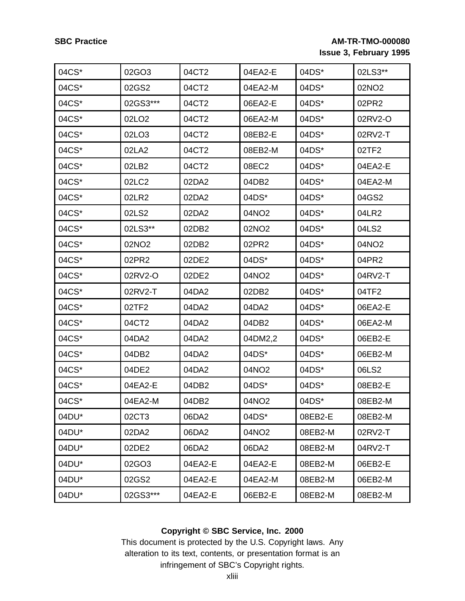| 04CS* | 02GO3             | 04CT2   | 04EA2-E           | 04DS*   | 02LS3**           |
|-------|-------------------|---------|-------------------|---------|-------------------|
| 04CS* | 02GS2             | 04CT2   | 04EA2-M           | 04DS*   | 02NO <sub>2</sub> |
| 04CS* | 02GS3***          | 04CT2   | 06EA2-E           | 04DS*   | 02PR2             |
| 04CS* | 02LO <sub>2</sub> | 04CT2   | 06EA2-M           | 04DS*   | 02RV2-O           |
| 04CS* | 02LO3             | 04CT2   | 08EB2-E           | 04DS*   | 02RV2-T           |
| 04CS* | 02LA2             | 04CT2   | 08EB2-M           | 04DS*   | 02TF2             |
| 04CS* | 02LB2             | 04CT2   | 08EC2             | 04DS*   | 04EA2-E           |
| 04CS* | 02LC2             | 02DA2   | 04DB2             | 04DS*   | 04EA2-M           |
| 04CS* | 02LR2             | 02DA2   | 04DS*             | 04DS*   | 04GS2             |
| 04CS* | 02LS2             | 02DA2   | 04NO <sub>2</sub> | 04DS*   | 04LR2             |
| 04CS* | 02LS3**           | 02DB2   | 02NO2             | 04DS*   | 04LS2             |
| 04CS* | 02NO2             | 02DB2   | 02PR2             | 04DS*   | 04NO2             |
| 04CS* | 02PR2             | 02DE2   | 04DS*             | 04DS*   | 04PR2             |
| 04CS* | 02RV2-O           | 02DE2   | 04NO2             | 04DS*   | 04RV2-T           |
| 04CS* | 02RV2-T           | 04DA2   | 02DB2             | 04DS*   | 04TF2             |
| 04CS* | 02TF2             | 04DA2   | 04DA2             | 04DS*   | 06EA2-E           |
| 04CS* | 04CT2             | 04DA2   | 04DB2             | 04DS*   | 06EA2-M           |
| 04CS* | 04DA2             | 04DA2   | 04DM2,2           | 04DS*   | 06EB2-E           |
| 04CS* | 04DB2             | 04DA2   | 04DS*             | 04DS*   | 06EB2-M           |
| 04CS* | 04DE2             | 04DA2   | 04NO <sub>2</sub> | 04DS*   | 06LS2             |
| 04CS* | 04EA2-E           | 04DB2   | 04DS*             | 04DS*   | 08EB2-E           |
| 04CS* | 04EA2-M           | 04DB2   | 04NO2             | 04DS*   | 08EB2-M           |
| 04DU* | 02CT3             | 06DA2   | 04DS*             | 08EB2-E | 08EB2-M           |
| 04DU* | 02DA2             | 06DA2   | 04NO <sub>2</sub> | 08EB2-M | 02RV2-T           |
| 04DU* | 02DE2             | 06DA2   | 06DA2             | 08EB2-M | 04RV2-T           |
| 04DU* | 02GO3             | 04EA2-E | 04EA2-E           | 08EB2-M | 06EB2-E           |
| 04DU* | 02GS2             | 04EA2-E | 04EA2-M           | 08EB2-M | 06EB2-M           |
| 04DU* | 02GS3***          | 04EA2-E | 06EB2-E           | 08EB2-M | 08EB2-M           |

## **Copyright © SBC Service, Inc. 2000**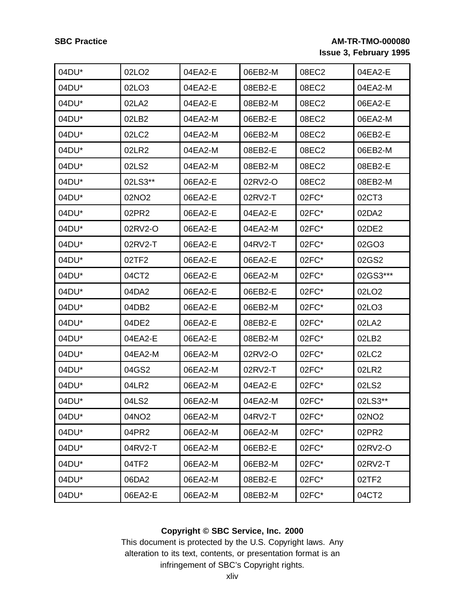| 04DU*    | 02LO <sub>2</sub> | 04EA2-E | 06EB2-M    | 08EC2   | 04EA2-E           |
|----------|-------------------|---------|------------|---------|-------------------|
| 04DU*    | 02LO3             | 04EA2-E | 08EB2-E    | 08EC2   | 04EA2-M           |
| 04DU*    | 02LA2             | 04EA2-E | 08EB2-M    | 08EC2   | 06EA2-E           |
| 04DU*    | 02LB2             | 04EA2-M | 06EB2-E    | 08EC2   | 06EA2-M           |
| 04DU*    | 02LC2             | 04EA2-M | 06EB2-M    | 08EC2   | 06EB2-E           |
| 04DU*    | 02LR2             | 04EA2-M | 08EB2-E    | 08EC2   | 06EB2-M           |
| 04DU*    | 02LS2             | 04EA2-M | 08EB2-M    | 08EC2   | 08EB2-E           |
| 04DU*    | 02LS3**           | 06EA2-E | 02RV2-O    | 08EC2   | 08EB2-M           |
| 04DU*    | 02NO <sub>2</sub> | 06EA2-E | 02RV2-T    | 02FC*   | 02CT3             |
| 04DU*    | 02PR2             | 06EA2-E | 04EA2-E    | 02FC*   | 02DA2             |
| 04DU*    | 02RV2-O           | 06EA2-E | 04EA2-M    | 02FC*   | 02DE2             |
| 04DU*    | 02RV2-T           | 06EA2-E | 04RV2-T    | 02FC*   | 02GO3             |
| 04DU*    | 02TF2             | 06EA2-E | 06EA2-E    | 02FC*   | 02GS2             |
| 04DU*    | 04CT2             | 06EA2-E | 06EA2-M    | $02FC*$ | 02GS3***          |
| 04DU*    | 04DA2             | 06EA2-E | 06EB2-E    | 02FC*   | 02LO <sub>2</sub> |
| 04DU*    | 04DB2             | 06EA2-E | 06EB2-M    | 02FC*   | 02LO3             |
| 04DU*    | 04DE2             | 06EA2-E | 08EB2-E    | 02FC*   | 02LA2             |
| 04DU*    | 04EA2-E           | 06EA2-E | 08EB2-M    | 02FC*   | 02LB2             |
| 04DU*    | 04EA2-M           | 06EA2-M | 02RV2-O    | 02FC*   | 02LC2             |
| 04DU*    | 04GS2             | 06EA2-M | 02RV2-T    | 02FC*   | 02LR2             |
| 04DU*    | 04LR2             | 06EA2-M | 04EA2-E    | 02FC*   | 02LS2             |
| $04DU^*$ | 04LS2             | 06EA2-M | $04E$ A2-M | $02FC*$ | 02LS3**           |
| 04DU*    | 04NO <sub>2</sub> | 06EA2-M | 04RV2-T    | 02FC*   | 02NO <sub>2</sub> |
| 04DU*    | 04PR2             | 06EA2-M | 06EA2-M    | 02FC*   | 02PR2             |
| 04DU*    | 04RV2-T           | 06EA2-M | 06EB2-E    | 02FC*   | 02RV2-O           |
| 04DU*    | 04TF2             | 06EA2-M | 06EB2-M    | 02FC*   | 02RV2-T           |
| 04DU*    | 06DA2             | 06EA2-M | 08EB2-E    | 02FC*   | 02TF2             |
|          |                   |         |            |         |                   |
| 04DU*    | 06EA2-E           | 06EA2-M | 08EB2-M    | 02FC*   | 04CT2             |

## **Copyright © SBC Service, Inc. 2000**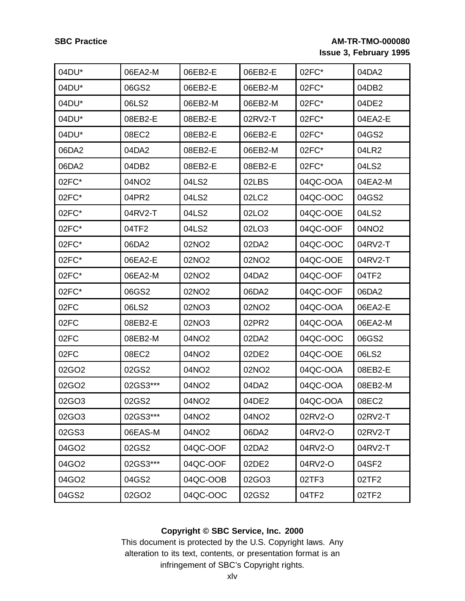| 04DU* | 06EA2-M  | 06EB2-E           | 06EB2-E           | 02FC*    | 04DA2             |
|-------|----------|-------------------|-------------------|----------|-------------------|
| 04DU* | 06GS2    | 06EB2-E           | 06EB2-M           | 02FC*    | 04DB2             |
| 04DU* | 06LS2    | 06EB2-M           | 06EB2-M           | 02FC*    | 04DE2             |
| 04DU* | 08EB2-E  | 08EB2-E           | 02RV2-T           | 02FC*    | 04EA2-E           |
| 04DU* | 08EC2    | 08EB2-E           | 06EB2-E           | 02FC*    | 04GS2             |
| 06DA2 | 04DA2    | 08EB2-E           | 06EB2-M           | 02FC*    | 04LR2             |
| 06DA2 | 04DB2    | 08EB2-E           | 08EB2-E           | 02FC*    | 04LS2             |
| 02FC* | 04NO2    | 04LS2             | 02LBS             | 04QC-OOA | 04EA2-M           |
| 02FC* | 04PR2    | 04LS2             | 02LC2             | 04QC-OOC | 04GS2             |
| 02FC* | 04RV2-T  | 04LS2             | 02LO <sub>2</sub> | 04QC-OOE | 04LS2             |
| 02FC* | 04TF2    | 04LS2             | 02LO3             | 04QC-OOF | 04NO <sub>2</sub> |
| 02FC* | 06DA2    | 02NO2             | 02DA2             | 04QC-OOC | 04RV2-T           |
| 02FC* | 06EA2-E  | 02NO2             | 02NO2             | 04QC-OOE | 04RV2-T           |
| 02FC* | 06EA2-M  | 02NO <sub>2</sub> | 04DA2             | 04QC-OOF | 04TF2             |
| 02FC* | 06GS2    | 02NO <sub>2</sub> | 06DA2             | 04QC-OOF | 06DA2             |
| 02FC  | 06LS2    | 02NO3             | 02NO2             | 04QC-OOA | 06EA2-E           |
| 02FC  | 08EB2-E  | 02NO3             | 02PR2             | 04QC-OOA | 06EA2-M           |
| 02FC  | 08EB2-M  | 04NO2             | 02DA2             | 04QC-OOC | 06GS2             |
| 02FC  | 08EC2    | 04NO2             | 02DE2             | 04QC-OOE | 06LS2             |
| 02GO2 | 02GS2    | 04NO <sub>2</sub> | 02NO <sub>2</sub> | 04QC-OOA | 08EB2-E           |
| 02GO2 | 02GS3*** | 04NO2             | 04DA2             | 04QC-OOA | 08EB2-M           |
| 02GO3 | 02GS2    | 04NO <sub>2</sub> | 04DE2             | 04QC-OOA | 08EC2             |
| 02GO3 | 02GS3*** | 04NO2             | 04NO2             | 02RV2-O  | 02RV2-T           |
| 02GS3 | 06EAS-M  | 04NO2             | 06DA2             | 04RV2-O  | 02RV2-T           |
| 04GO2 | 02GS2    | 04QC-OOF          | 02DA2             | 04RV2-O  | 04RV2-T           |
| 04GO2 | 02GS3*** | 04QC-OOF          | 02DE2             | 04RV2-O  | 04SF2             |
| 04GO2 | 04GS2    | 04QC-OOB          | 02GO3             | 02TF3    | 02TF2             |
| 04GS2 | 02GO2    | 04QC-OOC          | 02GS2             | 04TF2    | 02TF2             |

## **Copyright © SBC Service, Inc. 2000**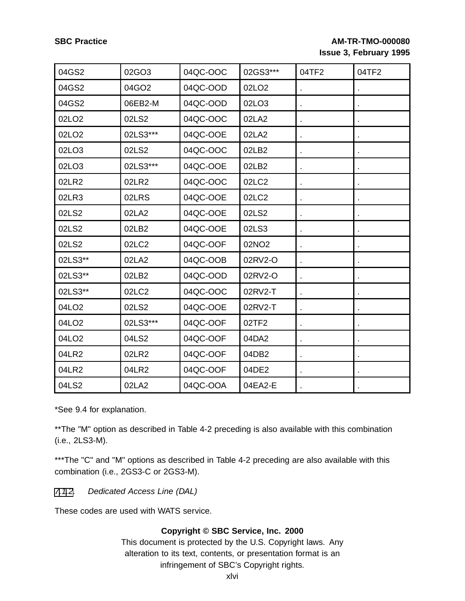| 04GS2             | 02GO3    | 04QC-OOC | 02GS3***          | 04TF2 | 04TF2 |
|-------------------|----------|----------|-------------------|-------|-------|
| 04GS2             | 04GO2    | 04QC-OOD | 02LO <sub>2</sub> |       |       |
| 04GS2             | 06EB2-M  | 04QC-OOD | 02LO3             |       |       |
| 02LO2             | 02LS2    | 04QC-OOC | 02LA2             |       |       |
| 02LO <sub>2</sub> | 02LS3*** | 04QC-OOE | 02LA2             |       |       |
| 02LO3             | 02LS2    | 04QC-OOC | 02LB2             |       |       |
| 02LO3             | 02LS3*** | 04QC-OOE | 02LB2             |       |       |
| 02LR2             | 02LR2    | 04QC-OOC | 02LC2             |       |       |
| 02LR3             | 02LRS    | 04QC-OOE | 02LC2             |       |       |
| 02LS2             | 02LA2    | 04QC-OOE | 02LS2             |       |       |
| 02LS2             | 02LB2    | 04QC-OOE | 02LS3             |       |       |
| 02LS2             | 02LC2    | 04QC-OOF | 02NO <sub>2</sub> |       |       |
| 02LS3**           | 02LA2    | 04QC-OOB | 02RV2-O           |       |       |
| 02LS3**           | 02LB2    | 04QC-OOD | 02RV2-O           |       |       |
| 02LS3**           | 02LC2    | 04QC-OOC | 02RV2-T           |       |       |
| 04LO2             | 02LS2    | 04QC-OOE | 02RV2-T           |       |       |
| 04LO2             | 02LS3*** | 04QC-OOF | 02TF2             |       |       |
| 04LO <sub>2</sub> | 04LS2    | 04QC-OOF | 04DA2             |       |       |
| 04LR2             | 02LR2    | 04QC-OOF | 04DB2             |       |       |
| 04LR2             | 04LR2    | 04QC-OOF | 04DE2             |       |       |
| 04LS2             | 02LA2    | 04QC-OOA | 04EA2-E           |       |       |

\*See 9.4 for explanation.

\*\*The "M" option as described in Table 4-2 preceding is also available with this combination (i.e., 2LS3-M).

\*\*\*The "C" and "M" options as described in Table 4-2 preceding are also available with this combination (i.e., 2GS3-C or 2GS3-M).

## [7.1](#page-41-0)[.2](#page-45-0). Dedicated Access Line (DAL)

<span id="page-45-0"></span>These codes are used with WATS service.

### **Copyright © SBC Service, Inc. 2000**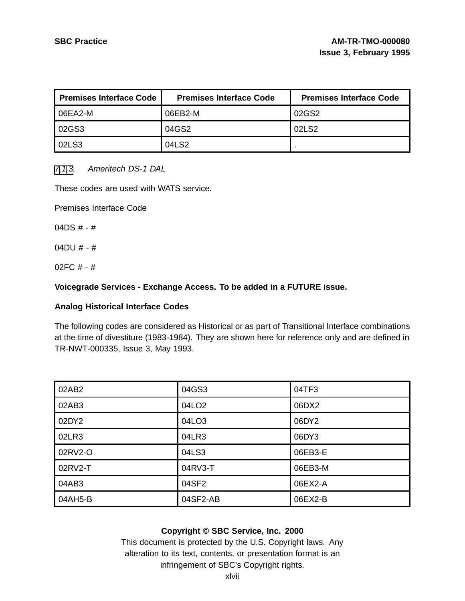| <b>Premises Interface Code</b> | <b>Premises Interface Code</b> | <b>Premises Interface Code</b> |
|--------------------------------|--------------------------------|--------------------------------|
| 06EA2-M                        | 06EB2-M                        | 02GS2                          |
| 02GS3                          | 04GS2                          | 02LS2                          |
| 02LS3                          | 04LS2                          |                                |

#### [7.1](#page-41-0)[.3](#page-46-0). Ameritech DS-1 DAL

These codes are used with WATS service.

Premises Interface Code

04DS  $# - #$ 

04DU # - #

02FC # - #

#### **Voicegrade Services - Exchange Access. To be added in a FUTURE issue.**

#### **Analog Historical Interface Codes**

The following codes are considered as Historical or as part of Transitional Interface combinations at the time of divestiture (1983-1984). They are shown here for reference only and are defined in TR-NWT-000335, Issue 3, May 1993.

| 02AB2   | 04GS3    | 04TF3   |
|---------|----------|---------|
| 02AB3   | 04LO2    | 06DX2   |
| 02DY2   | 04LO3    | 06DY2   |
| 02LR3   | 04LR3    | 06DY3   |
| 02RV2-O | 04LS3    | 06EB3-E |
| 02RV2-T | 04RV3-T  | 06EB3-M |
| 04AB3   | 04SF2    | 06EX2-A |
| 04AH5-B | 04SF2-AB | 06EX2-B |

#### <span id="page-46-0"></span>**Copyright © SBC Service, Inc. 2000**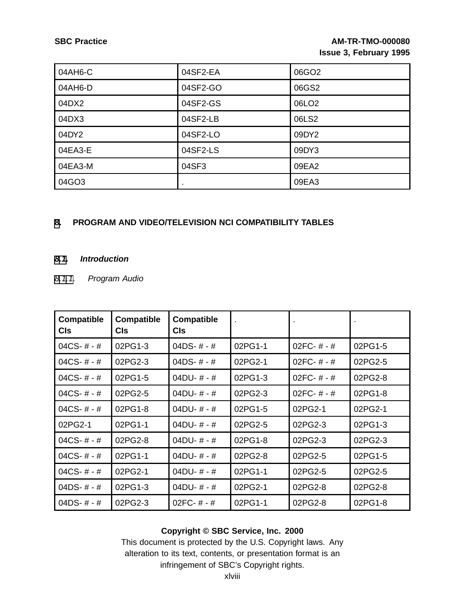| 04AH6-C | 04SF2-EA       | 06GO2             |
|---------|----------------|-------------------|
| 04AH6-D | 04SF2-GO       | 06GS2             |
| 04DX2   | 04SF2-GS       | 06LO <sub>2</sub> |
| 04DX3   | 04SF2-LB       | 06LS2             |
| 04DY2   | 04SF2-LO       | 09DY2             |
| 04EA3-E | 04SF2-LS       | 09DY3             |
| 04EA3-M | 04SF3          | 09EA2             |
| 04GO3   | $\blacksquare$ | 09EA3             |

## **[8](#page-47-0). PROGRAM AND VIDEO/TELEVISION NCI COMPATIBILITY TABLES**

#### **[8.1](#page-47-0). Introduction**

## [8.1.1](#page-47-0). Program Audio

| <b>Compatible</b><br><b>CIs</b> | <b>Compatible</b><br>CIs. | <b>Compatible</b><br><b>CIs</b> |         |                |         |
|---------------------------------|---------------------------|---------------------------------|---------|----------------|---------|
| 04CS- $# - #$                   | 02PG1-3                   | 04DS- $# - #$                   | 02PG1-1 | $02FC - # - #$ | 02PG1-5 |
| 04CS-# - #                      | 02PG2-3                   | 04DS-# - #                      | 02PG2-1 | 02FC-#-#       | 02PG2-5 |
| 04CS- $# - #$                   | 02PG1-5                   | 04DU- $# - #$                   | 02PG1-3 | 02FC-#-#       | 02PG2-8 |
| 04CS- $# - #$                   | 02PG2-5                   | 04DU- # - #                     | 02PG2-3 | $02FC - # - #$ | 02PG1-8 |
| 04CS- $# - #$                   | 02PG1-8                   | 04DU- $# - #$                   | 02PG1-5 | 02PG2-1        | 02PG2-1 |
| 02PG2-1                         | 02PG1-1                   | 04DU- $# - #$                   | 02PG2-5 | 02PG2-3        | 02PG1-3 |
| 04CS- $# - #$                   | 02PG2-8                   | 04DU- $# - #$                   | 02PG1-8 | 02PG2-3        | 02PG2-3 |
| 04CS- $# - #$                   | 02PG1-1                   | 04DU- $# - #$                   | 02PG2-8 | 02PG2-5        | 02PG1-5 |
| 04CS- $# - #$                   | 02PG2-1                   | 04DU- $# - #$                   | 02PG1-1 | 02PG2-5        | 02PG2-5 |
| 04DS- $# - #$                   | 02PG1-3                   | 04DU- $# - #$                   | 02PG2-1 | 02PG2-8        | 02PG2-8 |
| 04DS- $# - #$                   | 02PG2-3                   | $02FC - # - #$                  | 02PG1-1 | 02PG2-8        | 02PG1-8 |

## <span id="page-47-0"></span>**Copyright © SBC Service, Inc. 2000**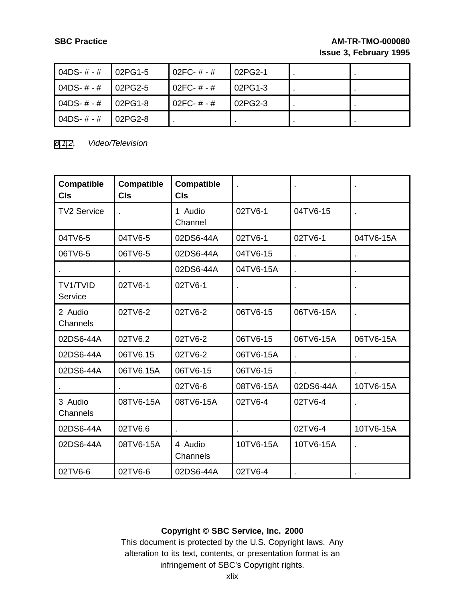| 04DS- $# - #$ | 02PG1-5 | .02FC- # - # | 02PG2-1 |  |
|---------------|---------|--------------|---------|--|
| $04DS-# - #$  | 02PG2-5 | 02FC- # - #  | 02PG1-3 |  |
| $04DS-# - #$  | 02PG1-8 | 02FC-#-#     | 02PG2-3 |  |
| $04DS-# - #$  | 02PG2-8 |              |         |  |

[8.1](#page-47-0)[.2](#page-48-0). Video/Television

| <b>Compatible</b><br><b>CIs</b> | <b>Compatible</b><br><b>CIs</b> | <b>Compatible</b><br><b>CIs</b> |           |           |           |
|---------------------------------|---------------------------------|---------------------------------|-----------|-----------|-----------|
| <b>TV2 Service</b>              |                                 | 1 Audio<br>Channel              | 02TV6-1   | 04TV6-15  |           |
| 04TV6-5                         | 04TV6-5                         | 02DS6-44A                       | 02TV6-1   | 02TV6-1   | 04TV6-15A |
| 06TV6-5                         | 06TV6-5                         | 02DS6-44A                       | 04TV6-15  |           |           |
|                                 |                                 | 02DS6-44A                       | 04TV6-15A |           |           |
| TV1/TVID<br>Service             | 02TV6-1                         | 02TV6-1                         |           |           |           |
| 2 Audio<br>Channels             | 02TV6-2                         | 02TV6-2                         | 06TV6-15  | 06TV6-15A |           |
| 02DS6-44A                       | 02TV6.2                         | 02TV6-2                         | 06TV6-15  | 06TV6-15A | 06TV6-15A |
| 02DS6-44A                       | 06TV6.15                        | 02TV6-2                         | 06TV6-15A |           |           |
| 02DS6-44A                       | 06TV6.15A                       | 06TV6-15                        | 06TV6-15  |           |           |
|                                 |                                 | 02TV6-6                         | 08TV6-15A | 02DS6-44A | 10TV6-15A |
| 3 Audio<br>Channels             | 08TV6-15A                       | 08TV6-15A                       | 02TV6-4   | 02TV6-4   |           |
| 02DS6-44A                       | 02TV6.6                         |                                 |           | 02TV6-4   | 10TV6-15A |
| 02DS6-44A                       | 08TV6-15A                       | 4 Audio<br>Channels             | 10TV6-15A | 10TV6-15A |           |
| 02TV6-6                         | 02TV6-6                         | 02DS6-44A                       | 02TV6-4   |           |           |

## <span id="page-48-0"></span>**Copyright © SBC Service, Inc. 2000**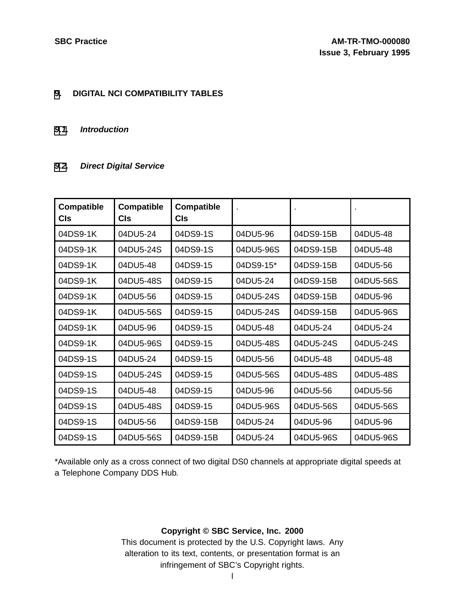#### **[9](#page-49-0). DIGITAL NCI COMPATIBILITY TABLES**

#### **[9.1](#page-49-0). Introduction**

## **[9.2](#page-49-0). Direct Digital Service**

| <b>Compatible</b><br><b>CIs</b> | <b>Compatible</b><br>CIs | <b>Compatible</b><br>CIs |           |           |           |
|---------------------------------|--------------------------|--------------------------|-----------|-----------|-----------|
| 04DS9-1K                        | 04DU5-24                 | 04DS9-1S                 | 04DU5-96  | 04DS9-15B | 04DU5-48  |
| 04DS9-1K                        | 04DU5-24S                | 04DS9-1S                 | 04DU5-96S | 04DS9-15B | 04DU5-48  |
| 04DS9-1K                        | 04DU5-48                 | 04DS9-15                 | 04DS9-15* | 04DS9-15B | 04DU5-56  |
| 04DS9-1K                        | 04DU5-48S                | 04DS9-15                 | 04DU5-24  | 04DS9-15B | 04DU5-56S |
| 04DS9-1K                        | 04DU5-56                 | 04DS9-15                 | 04DU5-24S | 04DS9-15B | 04DU5-96  |
| 04DS9-1K                        | 04DU5-56S                | 04DS9-15                 | 04DU5-24S | 04DS9-15B | 04DU5-96S |
| 04DS9-1K                        | 04DU5-96                 | 04DS9-15                 | 04DU5-48  | 04DU5-24  | 04DU5-24  |
| 04DS9-1K                        | 04DU5-96S                | 04DS9-15                 | 04DU5-48S | 04DU5-24S | 04DU5-24S |
| 04DS9-1S                        | 04DU5-24                 | 04DS9-15                 | 04DU5-56  | 04DU5-48  | 04DU5-48  |
| 04DS9-1S                        | 04DU5-24S                | 04DS9-15                 | 04DU5-56S | 04DU5-48S | 04DU5-48S |
| 04DS9-1S                        | 04DU5-48                 | 04DS9-15                 | 04DU5-96  | 04DU5-56  | 04DU5-56  |
| 04DS9-1S                        | 04DU5-48S                | 04DS9-15                 | 04DU5-96S | 04DU5-56S | 04DU5-56S |
| 04DS9-1S                        | 04DU5-56                 | 04DS9-15B                | 04DU5-24  | 04DU5-96  | 04DU5-96  |
| 04DS9-1S                        | 04DU5-56S                | 04DS9-15B                | 04DU5-24  | 04DU5-96S | 04DU5-96S |

<span id="page-49-0"></span>\*Available only as a cross connect of two digital DS0 channels at appropriate digital speeds at a Telephone Company DDS Hub.

## **Copyright © SBC Service, Inc. 2000**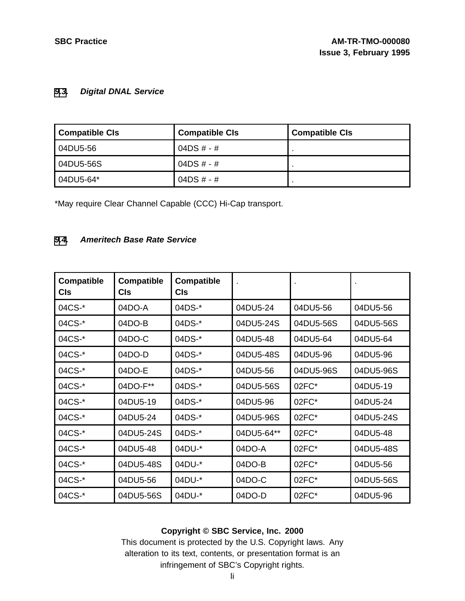## **[9](#page-49-0)[.3](#page-50-0). Digital DNAL Service**

| <b>Compatible CIs</b> | <b>Compatible CIs</b> | <b>Compatible CIs</b> |
|-----------------------|-----------------------|-----------------------|
| 04DU5-56              | 04DS # - #            |                       |
| 04DU5-56S             | 04DS # - #            |                       |
| 04DU5-64*             | 04DS # - #            |                       |

\*May require Clear Channel Capable (CCC) Hi-Cap transport.

#### **[9](#page-49-0)[.4](#page-50-0). Ameritech Base Rate Service**

| <b>Compatible</b><br>CIs | <b>Compatible</b><br>CIs | <b>Compatible</b><br>Cls |            |           |           |
|--------------------------|--------------------------|--------------------------|------------|-----------|-----------|
| 04CS-*                   | 04DO-A                   | 04DS-*                   | 04DU5-24   | 04DU5-56  | 04DU5-56  |
| 04CS-*                   | 04DO-B                   | 04DS-*                   | 04DU5-24S  | 04DU5-56S | 04DU5-56S |
| 04CS-*                   | 04DO-C                   | 04DS-*                   | 04DU5-48   | 04DU5-64  | 04DU5-64  |
| 04CS-*                   | 04DO-D                   | 04DS-*                   | 04DU5-48S  | 04DU5-96  | 04DU5-96  |
| 04CS-*                   | 04DO-E                   | 04DS-*                   | 04DU5-56   | 04DU5-96S | 04DU5-96S |
| 04CS-*                   | 04DO-F**                 | 04DS-*                   | 04DU5-56S  | 02FC*     | 04DU5-19  |
| 04CS-*                   | 04DU5-19                 | 04DS-*                   | 04DU5-96   | 02FC*     | 04DU5-24  |
| 04CS-*                   | 04DU5-24                 | 04DS-*                   | 04DU5-96S  | 02FC*     | 04DU5-24S |
| 04CS-*                   | 04DU5-24S                | 04DS-*                   | 04DU5-64** | 02FC*     | 04DU5-48  |
| 04CS-*                   | 04DU5-48                 | 04DU-*                   | 04DO-A     | 02FC*     | 04DU5-48S |
| 04CS-*                   | 04DU5-48S                | 04DU-*                   | 04DO-B     | 02FC*     | 04DU5-56  |
| 04CS-*                   | 04DU5-56                 | 04DU-*                   | 04DO-C     | 02FC*     | 04DU5-56S |
| 04CS-*                   | 04DU5-56S                | 04DU-*                   | 04DO-D     | 02FC*     | 04DU5-96  |

## <span id="page-50-0"></span>**Copyright © SBC Service, Inc. 2000**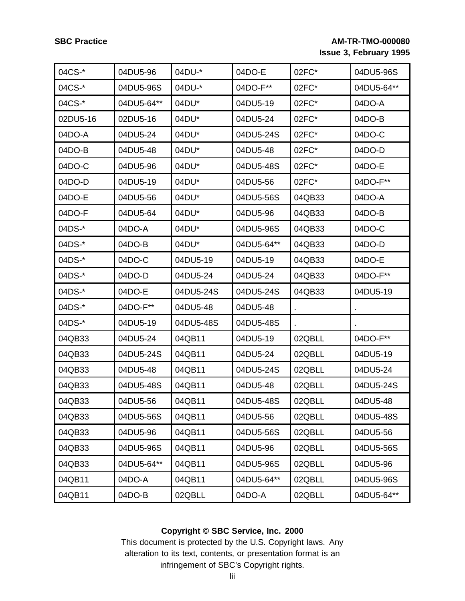| 04CS-*   | 04DU5-96   | 04DU-*    | 04DO-E     | 02FC*  | 04DU5-96S  |
|----------|------------|-----------|------------|--------|------------|
| 04CS-*   | 04DU5-96S  | 04DU-*    | 04DO-F**   | 02FC*  | 04DU5-64** |
| 04CS-*   | 04DU5-64** | 04DU*     | 04DU5-19   | 02FC*  | 04DO-A     |
| 02DU5-16 | 02DU5-16   | 04DU*     | 04DU5-24   | 02FC*  | 04DO-B     |
| 04DO-A   | 04DU5-24   | 04DU*     | 04DU5-24S  | 02FC*  | 04DO-C     |
| 04DO-B   | 04DU5-48   | 04DU*     | 04DU5-48   | 02FC*  | 04DO-D     |
| 04DO-C   | 04DU5-96   | 04DU*     | 04DU5-48S  | 02FC*  | 04DO-E     |
| 04DO-D   | 04DU5-19   | 04DU*     | 04DU5-56   | 02FC*  | 04DO-F**   |
| 04DO-E   | 04DU5-56   | 04DU*     | 04DU5-56S  | 04QB33 | 04DO-A     |
| 04DO-F   | 04DU5-64   | 04DU*     | 04DU5-96   | 04QB33 | 04DO-B     |
| 04DS-*   | 04DO-A     | 04DU*     | 04DU5-96S  | 04QB33 | $04DO-C$   |
| 04DS-*   | $04DO-B$   | 04DU*     | 04DU5-64** | 04QB33 | 04DO-D     |
| 04DS-*   | 04DO-C     | 04DU5-19  | 04DU5-19   | 04QB33 | 04DO-E     |
| 04DS-*   | 04DO-D     | 04DU5-24  | 04DU5-24   | 04QB33 | 04DO-F**   |
| 04DS-*   | 04DO-E     | 04DU5-24S | 04DU5-24S  | 04QB33 | 04DU5-19   |
| 04DS-*   | 04DO-F**   | 04DU5-48  | 04DU5-48   |        |            |
| 04DS-*   | 04DU5-19   | 04DU5-48S | 04DU5-48S  |        |            |
| 04QB33   | 04DU5-24   | 04QB11    | 04DU5-19   | 02QBLL | 04DO-F**   |
| 04QB33   | 04DU5-24S  | 04QB11    | 04DU5-24   | 02QBLL | 04DU5-19   |
| 04QB33   | 04DU5-48   | 04QB11    | 04DU5-24S  | 02QBLL | 04DU5-24   |
| 04QB33   | 04DU5-48S  | 04QB11    | 04DU5-48   | 02QBLL | 04DU5-24S  |
| 04QB33   | 04DU5-56   | 04QB11    | 04DU5-48S  | 02QBLL | 04DU5-48   |
| 04QB33   | 04DU5-56S  | 04QB11    | 04DU5-56   | 02QBLL | 04DU5-48S  |
| 04QB33   | 04DU5-96   | 04QB11    | 04DU5-56S  | 02QBLL | 04DU5-56   |
| 04QB33   | 04DU5-96S  | 04QB11    | 04DU5-96   | 02QBLL | 04DU5-56S  |
| 04QB33   | 04DU5-64** | 04QB11    | 04DU5-96S  | 02QBLL | 04DU5-96   |
| 04QB11   | 04DO-A     | 04QB11    | 04DU5-64** | 02QBLL | 04DU5-96S  |
| 04QB11   | 04DO-B     | 02QBLL    | 04DO-A     | 02QBLL | 04DU5-64** |

## **Copyright © SBC Service, Inc. 2000**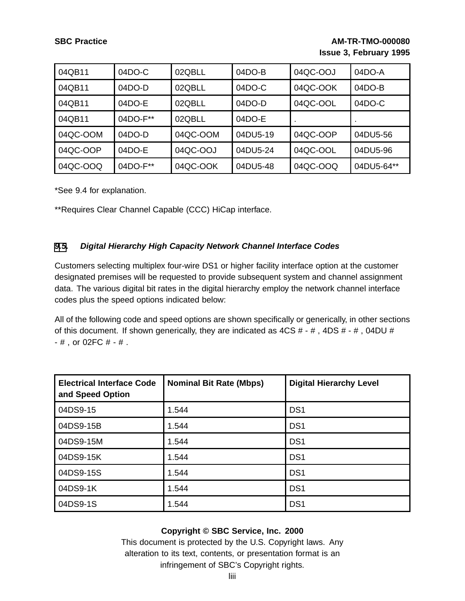| 04QB11   | 04DO-C   | 02QBLL   | $04DO-B$ | 04QC-OOJ | 04DO-A     |
|----------|----------|----------|----------|----------|------------|
| 04QB11   | 04DO-D   | 02QBLL   | $04DO-C$ | 04QC-OOK | $04DO-B$   |
| 04QB11   | 04DO-E   | 02QBLL   | $04DO-D$ | 04QC-OOL | 04DO-C     |
| 04QB11   | 04DO-F** | 02QBLL   | $04DO-E$ |          |            |
| 04QC-OOM | $04DO-D$ | 04QC-OOM | 04DU5-19 | 04QC-OOP | 04DU5-56   |
| 04QC-OOP | 04DO-E   | 04QC-OOJ | 04DU5-24 | 04QC-OOL | 04DU5-96   |
| 04QC-OOQ | 04DO-F** | 04QC-OOK | 04DU5-48 | 04QC-OOQ | 04DU5-64** |

\*See 9.4 for explanation.

\*\*Requires Clear Channel Capable (CCC) HiCap interface.

## **[9](#page-49-0)[.5](#page-52-0). Digital Hierarchy High Capacity Network Channel Interface Codes**

Customers selecting multiplex four-wire DS1 or higher facility interface option at the customer designated premises will be requested to provide subsequent system and channel assignment data. The various digital bit rates in the digital hierarchy employ the network channel interface codes plus the speed options indicated below:

All of the following code and speed options are shown specifically or generically, in other sections of this document. If shown generically, they are indicated as  $4CS # - #$ ,  $4DS # - #$ ,  $04DU #$ - # , or 02FC # - # .

| <b>Electrical Interface Code</b><br>and Speed Option | <b>Nominal Bit Rate (Mbps)</b> | <b>Digital Hierarchy Level</b> |
|------------------------------------------------------|--------------------------------|--------------------------------|
| 04DS9-15                                             | 1.544                          | DS <sub>1</sub>                |
| 04DS9-15B                                            | 1.544                          | DS <sub>1</sub>                |
| 04DS9-15M                                            | 1.544                          | DS <sub>1</sub>                |
| 04DS9-15K                                            | 1.544                          | DS <sub>1</sub>                |
| 04DS9-15S                                            | 1.544                          | DS <sub>1</sub>                |
| 04DS9-1K                                             | 1.544                          | DS <sub>1</sub>                |
| 04DS9-1S                                             | 1.544                          | DS <sub>1</sub>                |

#### <span id="page-52-0"></span>**Copyright © SBC Service, Inc. 2000**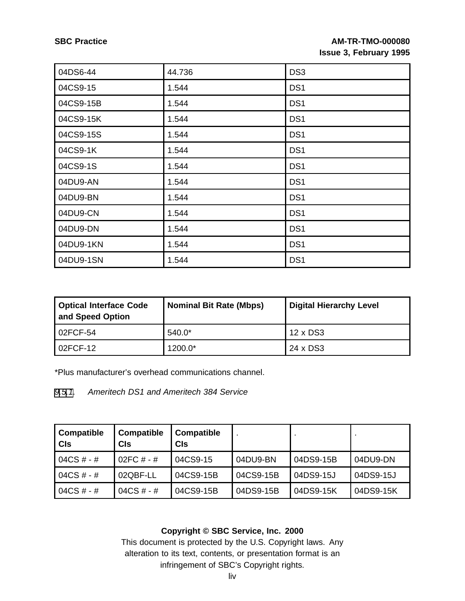| 04DS6-44  | 44.736 | DS <sub>3</sub> |
|-----------|--------|-----------------|
| 04CS9-15  | 1.544  | DS <sub>1</sub> |
| 04CS9-15B | 1.544  | DS <sub>1</sub> |
| 04CS9-15K | 1.544  | DS <sub>1</sub> |
| 04CS9-15S | 1.544  | DS <sub>1</sub> |
| 04CS9-1K  | 1.544  | DS <sub>1</sub> |
| 04CS9-1S  | 1.544  | DS <sub>1</sub> |
| 04DU9-AN  | 1.544  | DS <sub>1</sub> |
| 04DU9-BN  | 1.544  | DS <sub>1</sub> |
| 04DU9-CN  | 1.544  | DS <sub>1</sub> |
| 04DU9-DN  | 1.544  | DS <sub>1</sub> |
| 04DU9-1KN | 1.544  | DS <sub>1</sub> |
| 04DU9-1SN | 1.544  | DS <sub>1</sub> |

| <b>Optical Interface Code</b><br>and Speed Option | <b>Nominal Bit Rate (Mbps)</b> | <b>Digital Hierarchy Level</b> |
|---------------------------------------------------|--------------------------------|--------------------------------|
| l 02FCF-54                                        | $540.0*$                       | 12 x DS3                       |
| 02FCF-12                                          | 1200.0*                        | 24 x DS3                       |

\*Plus manufacturer's overhead communications channel.

#### [9](#page-49-0)[.5](#page-52-0)[.1](#page-53-0). Ameritech DS1 and Ameritech 384 Service

| Compatible<br><b>CIs</b> | <b>Compatible</b><br><b>CIs</b> | <b>Compatible</b><br>CIs |           |           |           |
|--------------------------|---------------------------------|--------------------------|-----------|-----------|-----------|
| 04CS # - #               | 02FC $# - #$                    | 04CS9-15                 | 04DU9-BN  | 04DS9-15B | 04DU9-DN  |
| 04CS # - #               | 02QBF-LL                        | 04CS9-15B                | 04CS9-15B | 04DS9-15J | 04DS9-15J |
| 04CS # - #               | 04CS # - #                      | 04CS9-15B                | 04DS9-15B | 04DS9-15K | 04DS9-15K |

## <span id="page-53-0"></span>**Copyright © SBC Service, Inc. 2000**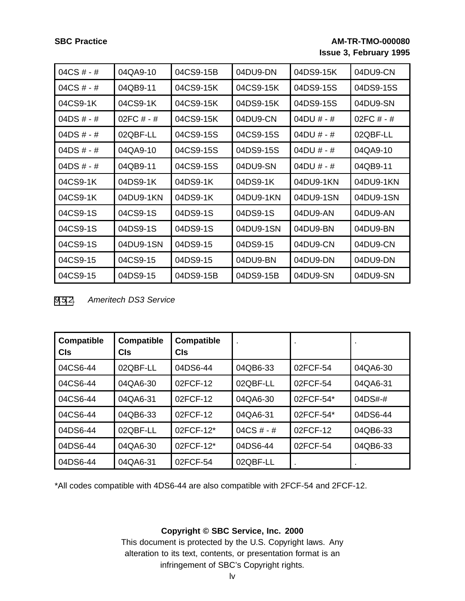| 04CS # - #   | 04QA9-10   | 04CS9-15B | 04DU9-DN  | 04DS9-15K  | 04DU9-CN   |
|--------------|------------|-----------|-----------|------------|------------|
| 04CS # - #   | 04QB9-11   | 04CS9-15K | 04CS9-15K | 04DS9-15S  | 04DS9-15S  |
| 04CS9-1K     | 04CS9-1K   | 04CS9-15K | 04DS9-15K | 04DS9-15S  | 04DU9-SN   |
| 04DS # - #   | 02FC # - # | 04CS9-15K | 04DU9-CN  | 04DU # - # | 02FC # - # |
| 04DS # - #   | 02QBF-LL   | 04CS9-15S | 04CS9-15S | 04DU # - # | 02QBF-LL   |
| $04DS # - #$ | 04QA9-10   | 04CS9-15S | 04DS9-15S | 04DU # - # | 04QA9-10   |
| 04DS # - #   | 04QB9-11   | 04CS9-15S | 04DU9-SN  | 04DU # - # | 04QB9-11   |
| 04CS9-1K     | 04DS9-1K   | 04DS9-1K  | 04DS9-1K  | 04DU9-1KN  | 04DU9-1KN  |
| 04CS9-1K     | 04DU9-1KN  | 04DS9-1K  | 04DU9-1KN | 04DU9-1SN  | 04DU9-1SN  |
| 04CS9-1S     | 04CS9-1S   | 04DS9-1S  | 04DS9-1S  | 04DU9-AN   | 04DU9-AN   |
| 04CS9-1S     | 04DS9-1S   | 04DS9-1S  | 04DU9-1SN | 04DU9-BN   | 04DU9-BN   |
| 04CS9-1S     | 04DU9-1SN  | 04DS9-15  | 04DS9-15  | 04DU9-CN   | 04DU9-CN   |
| 04CS9-15     | 04CS9-15   | 04DS9-15  | 04DU9-BN  | 04DU9-DN   | 04DU9-DN   |
| 04CS9-15     | 04DS9-15   | 04DS9-15B | 04DS9-15B | 04DU9-SN   | 04DU9-SN   |

#### [9](#page-49-0)[.5](#page-52-0)[.2](#page-54-0). Ameritech DS3 Service

| <b>Compatible</b><br><b>CIs</b> | <b>Compatible</b><br>Cls | <b>Compatible</b><br>CIs | $\bullet$  |           |           |
|---------------------------------|--------------------------|--------------------------|------------|-----------|-----------|
| 04CS6-44                        | 02QBF-LL                 | 04DS6-44                 | 04QB6-33   | 02FCF-54  | 04QA6-30  |
| 04CS6-44                        | 04QA6-30                 | 02FCF-12                 | 02QBF-LL   | 02FCF-54  | 04QA6-31  |
| 04CS6-44                        | 04QA6-31                 | 02FCF-12                 | 04QA6-30   | 02FCF-54* | $04DS#-#$ |
| 04CS6-44                        | 04QB6-33                 | 02FCF-12                 | 04QA6-31   | 02FCF-54* | 04DS6-44  |
| 04DS6-44                        | 02QBF-LL                 | 02FCF-12*                | 04CS # - # | 02FCF-12  | 04QB6-33  |
| 04DS6-44                        | 04QA6-30                 | 02FCF-12*                | 04DS6-44   | 02FCF-54  | 04QB6-33  |
| 04DS6-44                        | 04QA6-31                 | 02FCF-54                 | 02QBF-LL   |           | ٠         |

<span id="page-54-0"></span>\*All codes compatible with 4DS6-44 are also compatible with 2FCF-54 and 2FCF-12.

## **Copyright © SBC Service, Inc. 2000**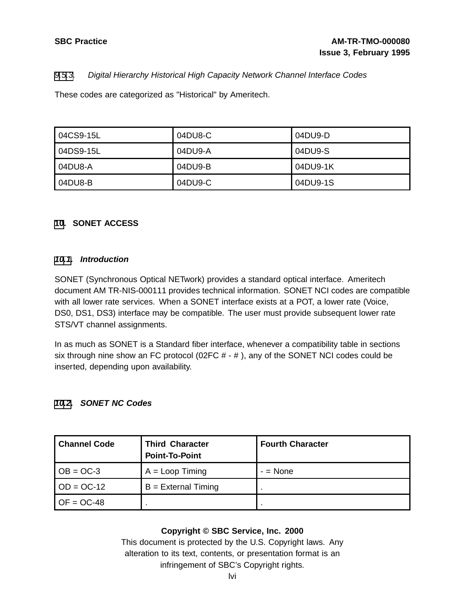### [9](#page-49-0)[.5](#page-52-0)[.3](#page-55-0). Digital Hierarchy Historical High Capacity Network Channel Interface Codes

These codes are categorized as "Historical" by Ameritech.

| l 04CS9-15L | 04DU8-C | 04DU9-D  |
|-------------|---------|----------|
| l 04DS9-15L | 04DU9-A | 04DU9-S  |
| l 04DU8-A   | 04DU9-B | 04DU9-1K |
| 04DU8-B     | 04DU9-C | 04DU9-1S |

#### **[10](#page-55-0). SONET ACCESS**

#### **[10.1](#page-55-0). Introduction**

SONET (Synchronous Optical NETwork) provides a standard optical interface. Ameritech document AM TR-NIS-000111 provides technical information. SONET NCI codes are compatible with all lower rate services. When a SONET interface exists at a POT, a lower rate (Voice, DS0, DS1, DS3) interface may be compatible. The user must provide subsequent lower rate STS/VT channel assignments.

In as much as SONET is a Standard fiber interface, whenever a compatibility table in sections six through nine show an FC protocol (02FC  $#$  -  $#$ ), any of the SONET NCI codes could be inserted, depending upon availability.

#### **[10.2](#page-55-0). SONET NC Codes**

<span id="page-55-0"></span>

| <b>Channel Code</b>                 | <b>Third Character</b><br><b>Point-To-Point</b> | <b>Fourth Character</b> |
|-------------------------------------|-------------------------------------------------|-------------------------|
| $\overline{OB} = \overline{OC} - 3$ | $A = Loop$ Timing                               | $-$ = None              |
| $OD = OC-12$                        | $B =$ External Timing                           |                         |
| $OF = OC-48$                        |                                                 |                         |

#### **Copyright © SBC Service, Inc. 2000**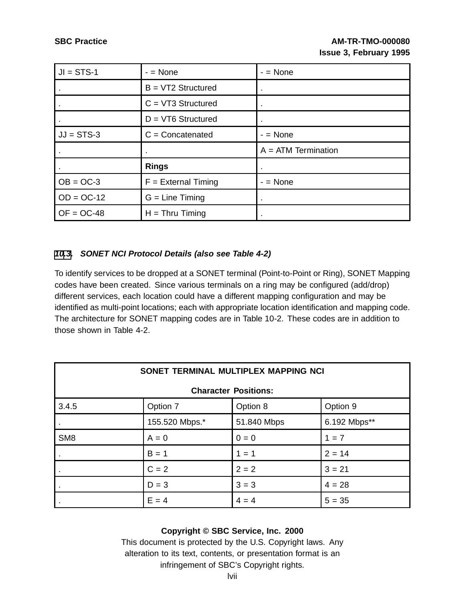| $JI = STS-1$ | $-$ = None            | $-$ = None            |
|--------------|-----------------------|-----------------------|
|              | $B = VT2$ Structured  |                       |
|              | $C = VT3$ Structured  |                       |
|              | $D = VT6$ Structured  |                       |
| $JJ = STS-3$ | $C =$ Concatenated    | $-$ = None            |
|              | $\bullet$             | $A = ATM$ Termination |
|              | <b>Rings</b>          |                       |
| $OB = OC-3$  | $F =$ External Timing |                       |
|              |                       | $-$ = None            |
| $OD = OC-12$ | $G = Line$ Timing     |                       |

### **[10](#page-55-0)[.3](#page-56-0). SONET NCI Protocol Details (also see Table 4-2)**

To identify services to be dropped at a SONET terminal (Point-to-Point or Ring), SONET Mapping codes have been created. Since various terminals on a ring may be configured (add/drop) different services, each location could have a different mapping configuration and may be identified as multi-point locations; each with appropriate location identification and mapping code. The architecture for SONET mapping codes are in Table 10-2. These codes are in addition to those shown in Table 4-2.

| SONET TERMINAL MULTIPLEX MAPPING NCI |                             |             |              |  |  |  |  |
|--------------------------------------|-----------------------------|-------------|--------------|--|--|--|--|
|                                      | <b>Character Positions:</b> |             |              |  |  |  |  |
| 3.4.5                                | Option 7                    | Option 8    | Option 9     |  |  |  |  |
|                                      | 155.520 Mbps.*              | 51.840 Mbps | 6.192 Mbps** |  |  |  |  |
| SM <sub>8</sub>                      | $A = 0$                     | $0 = 0$     | $1 = 7$      |  |  |  |  |
|                                      | $B = 1$                     | $1 = 1$     | $2 = 14$     |  |  |  |  |
|                                      | $C = 2$                     | $2 = 2$     | $3 = 21$     |  |  |  |  |
|                                      | $D = 3$                     | $3 = 3$     | $4 = 28$     |  |  |  |  |
|                                      | $E = 4$                     | $4 = 4$     | $5 = 35$     |  |  |  |  |

## <span id="page-56-0"></span>**Copyright © SBC Service, Inc. 2000**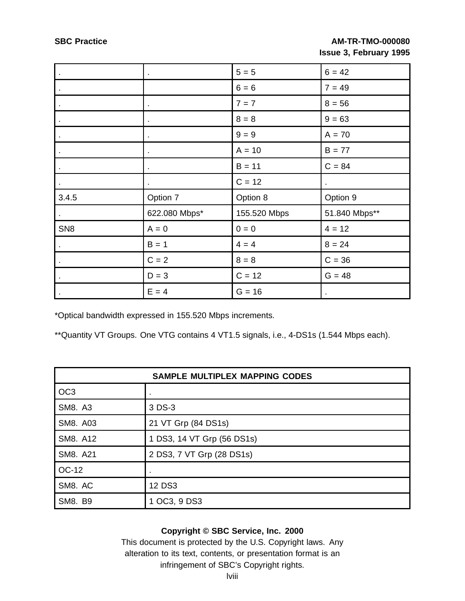| $\blacksquare$  |                | $5 = 5$      | $6 = 42$       |
|-----------------|----------------|--------------|----------------|
| $\blacksquare$  |                | $6 = 6$      | $7 = 49$       |
|                 |                | $7 = 7$      | $8 = 56$       |
| $\blacksquare$  | $\bullet$      | $8 = 8$      | $9 = 63$       |
|                 | $\bullet$      | $9 = 9$      | $A = 70$       |
| $\blacksquare$  | $\mathbf{r}$   | $A = 10$     | $B = 77$       |
|                 |                | $B = 11$     | $C = 84$       |
| $\bullet$       | $\blacksquare$ | $C = 12$     | $\blacksquare$ |
| 3.4.5           | Option 7       | Option 8     | Option 9       |
|                 | 622.080 Mbps*  | 155.520 Mbps | 51.840 Mbps**  |
| SN <sub>8</sub> | $A = 0$        | $0 = 0$      | $4 = 12$       |
| $\blacksquare$  | $B = 1$        | $4 = 4$      | $8 = 24$       |
|                 | $C = 2$        | $8 = 8$      | $C = 36$       |
| $\bullet$       | $D = 3$        | $C = 12$     | $G = 48$       |
|                 | $E = 4$        | $G = 16$     | $\bullet$      |

\*Optical bandwidth expressed in 155.520 Mbps increments.

\*\*Quantity VT Groups. One VTG contains 4 VT1.5 signals, i.e., 4-DS1s (1.544 Mbps each).

| <b>SAMPLE MULTIPLEX MAPPING CODES</b> |                            |  |  |
|---------------------------------------|----------------------------|--|--|
| OC <sub>3</sub>                       | ٠                          |  |  |
| <b>SM8. A3</b>                        | 3 DS-3                     |  |  |
| SM8. A03                              | 21 VT Grp (84 DS1s)        |  |  |
| SM8. A12                              | 1 DS3, 14 VT Grp (56 DS1s) |  |  |
| SM8. A21                              | 2 DS3, 7 VT Grp (28 DS1s)  |  |  |
| OC-12                                 |                            |  |  |
| SM8. AC                               | 12 DS3                     |  |  |
| <b>SM8. B9</b>                        | 1 OC3, 9 DS3               |  |  |

## **Copyright © SBC Service, Inc. 2000**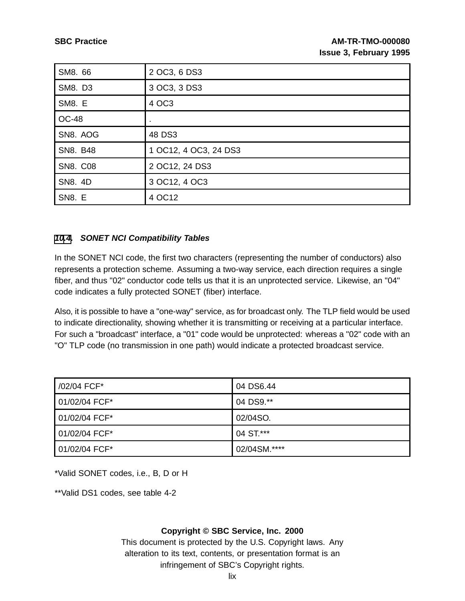| SM8. 66         | 2 OC3, 6 DS3          |
|-----------------|-----------------------|
| SM8. D3         | 3 OC3, 3 DS3          |
| SM8. E          | 4 OC3                 |
| <b>OC-48</b>    | ٠                     |
| SN8. AOG        | 48 DS3                |
| SN8. B48        | 1 OC12, 4 OC3, 24 DS3 |
| <b>SN8. C08</b> | 2 OC12, 24 DS3        |
| SN8. 4D         | 3 OC12, 4 OC3         |
| <b>SN8. E</b>   | 4 OC12                |

#### **[10](#page-55-0)[.4](#page-58-0). SONET NCI Compatibility Tables**

In the SONET NCI code, the first two characters (representing the number of conductors) also represents a protection scheme. Assuming a two-way service, each direction requires a single fiber, and thus "02" conductor code tells us that it is an unprotected service. Likewise, an "04" code indicates a fully protected SONET (fiber) interface.

Also, it is possible to have a "one-way" service, as for broadcast only. The TLP field would be used to indicate directionality, showing whether it is transmitting or receiving at a particular interface. For such a "broadcast" interface, a "01" code would be unprotected: whereas a "02" code with an "O" TLP code (no transmission in one path) would indicate a protected broadcast service.

| /02/04 FCF*   | 04 DS6.44    |
|---------------|--------------|
| 01/02/04 FCF* | 04 DS9.**    |
| 01/02/04 FCF* | 02/04SO.     |
| 01/02/04 FCF* | 04 ST.***    |
| 01/02/04 FCF* | 02/04SM.**** |

\*Valid SONET codes, i.e., B, D or H

<span id="page-58-0"></span>\*\*Valid DS1 codes, see table 4-2

#### **Copyright © SBC Service, Inc. 2000**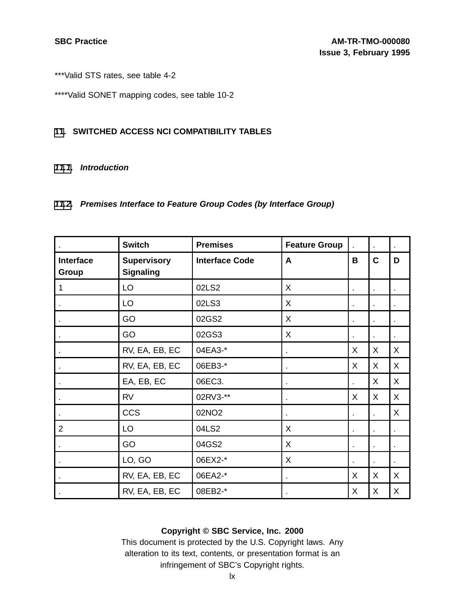\*\*\*Valid STS rates, see table 4-2

\*\*\*\*Valid SONET mapping codes, see table 10-2

#### **[11](#page-59-0). SWITCHED ACCESS NCI COMPATIBILITY TABLES**

#### **[11.1](#page-59-0). Introduction**

## **[11.2](#page-59-0). Premises Interface to Feature Group Codes (by Interface Group)**

|                           | <b>Switch</b>                          | <b>Premises</b>       | <b>Feature Group</b> |   |                | $\bullet$ |
|---------------------------|----------------------------------------|-----------------------|----------------------|---|----------------|-----------|
| <b>Interface</b><br>Group | <b>Supervisory</b><br><b>Signaling</b> | <b>Interface Code</b> | A                    | B | $\mathbf c$    | D         |
| 1                         | LO                                     | 02LS2                 | X                    |   |                |           |
|                           | LO                                     | 02LS3                 | X                    |   |                |           |
|                           | GO                                     | 02GS2                 | X                    | ٠ |                | $\bullet$ |
|                           | GO                                     | 02GS3                 | X                    |   |                |           |
|                           | RV, EA, EB, EC                         | 04EA3-*               | $\blacksquare$       | X | X.             | X         |
|                           | RV, EA, EB, EC                         | 06EB3-*               |                      | X | X              | X         |
|                           | EA, EB, EC                             | 06EC3.                |                      |   | X              | X         |
|                           | <b>RV</b>                              | 02RV3-**              | $\blacksquare$       | X | X              | X         |
|                           | <b>CCS</b>                             | 02NO2                 |                      |   |                | X         |
| $\overline{2}$            | LO                                     | 04LS2                 | X                    |   |                |           |
|                           | GO                                     | 04GS2                 | X                    |   |                |           |
|                           | LO, GO                                 | 06EX2-*               | X                    | ٠ | $\blacksquare$ | $\bullet$ |
|                           | RV, EA, EB, EC                         | 06EA2-*               |                      | X | X              | X         |
|                           | RV, EA, EB, EC                         | 08EB2-*               |                      | X | X              | X         |

## <span id="page-59-0"></span>**Copyright © SBC Service, Inc. 2000**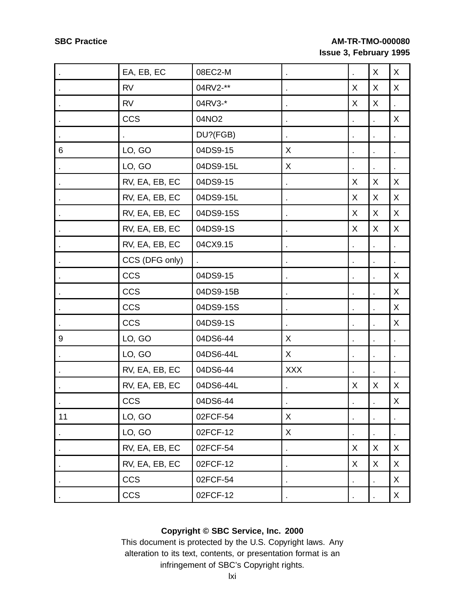|    | EA, EB, EC     | 08EC2-M   |            |    | X | $\sf X$      |
|----|----------------|-----------|------------|----|---|--------------|
|    | <b>RV</b>      | 04RV2-**  |            | X  | X | X            |
|    | <b>RV</b>      | 04RV3-*   |            | X  | X |              |
|    | <b>CCS</b>     | 04NO2     |            |    |   | X            |
|    |                | DU?(FGB)  |            |    |   |              |
| 6  | LO, GO         | 04DS9-15  | X          |    |   |              |
|    | LO, GO         | 04DS9-15L | X          |    |   |              |
|    | RV, EA, EB, EC | 04DS9-15  |            | X  | X | X            |
|    | RV, EA, EB, EC | 04DS9-15L |            | X. | X | X            |
|    | RV, EA, EB, EC | 04DS9-15S |            | X  | X | X            |
|    | RV, EA, EB, EC | 04DS9-1S  |            | X. | X | X            |
|    | RV, EA, EB, EC | 04CX9.15  |            |    |   |              |
|    | CCS (DFG only) |           |            |    |   |              |
|    | <b>CCS</b>     | 04DS9-15  |            |    |   | X            |
|    | CCS            | 04DS9-15B |            |    |   | $\sf X$      |
|    | CCS            | 04DS9-15S |            |    |   | X            |
|    | <b>CCS</b>     | 04DS9-1S  |            |    |   | X            |
| 9  | LO, GO         | 04DS6-44  | X          |    |   |              |
|    | LO, GO         | 04DS6-44L | X          |    |   |              |
|    | RV, EA, EB, EC | 04DS6-44  | <b>XXX</b> |    |   |              |
|    | RV, EA, EB, EC | 04DS6-44L |            | X. | X | X            |
|    | <b>CCS</b>     | 04DS6-44  |            |    |   | $\mathsf{X}$ |
| 11 | LO, GO         | 02FCF-54  | X          |    |   |              |
|    | LO, GO         | 02FCF-12  | X          |    |   |              |
|    | RV, EA, EB, EC | 02FCF-54  |            | X  | X | $\sf X$      |
|    | RV, EA, EB, EC | 02FCF-12  |            | X  | Χ | X            |
|    | CCS            | 02FCF-54  |            |    |   | X            |
|    | <b>CCS</b>     | 02FCF-12  |            |    |   | $\sf X$      |

## **Copyright © SBC Service, Inc. 2000**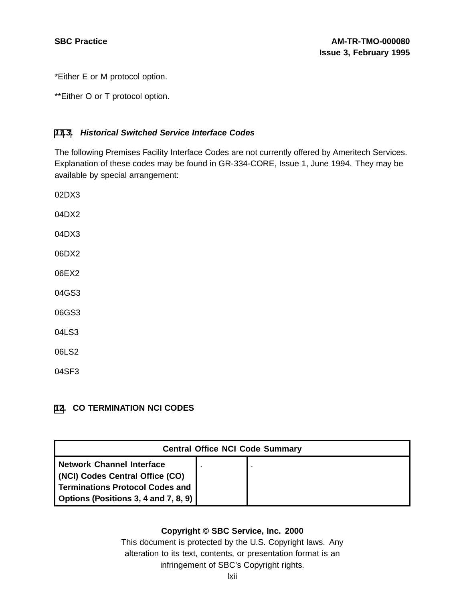\*Either E or M protocol option.

\*\*Either O or T protocol option.

#### **[11](#page-59-0)[.3](#page-61-0). Historical Switched Service Interface Codes**

The following Premises Facility Interface Codes are not currently offered by Ameritech Services. Explanation of these codes may be found in GR-334-CORE, Issue 1, June 1994. They may be available by special arrangement:

02DX3 04DX2 04DX3 06DX2 06EX2 04GS3 06GS3 04LS3 06LS2 04SF3

#### **[12](#page-61-0). CO TERMINATION NCI CODES**

<span id="page-61-0"></span>

| <b>Central Office NCI Code Summary</b>                                                                                                                |  |  |  |
|-------------------------------------------------------------------------------------------------------------------------------------------------------|--|--|--|
| <b>Network Channel Interface</b><br>(NCI) Codes Central Office (CO)<br><b>Terminations Protocol Codes and</b><br>Options (Positions 3, 4 and 7, 8, 9) |  |  |  |

### **Copyright © SBC Service, Inc. 2000**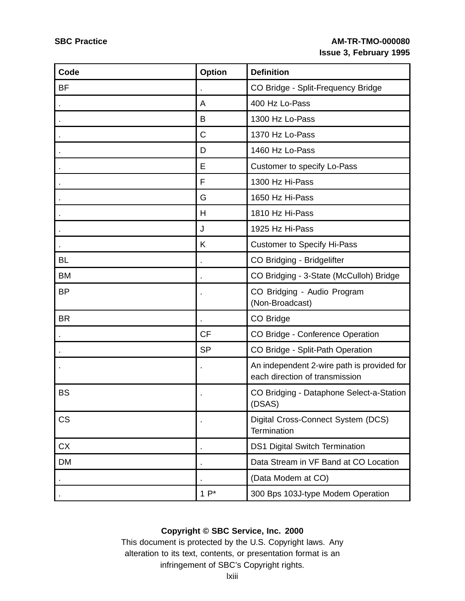| Code      | <b>Option</b> | <b>Definition</b>                                                            |
|-----------|---------------|------------------------------------------------------------------------------|
| <b>BF</b> |               | CO Bridge - Split-Frequency Bridge                                           |
|           | A             | 400 Hz Lo-Pass                                                               |
|           | B             | 1300 Hz Lo-Pass                                                              |
|           | C             | 1370 Hz Lo-Pass                                                              |
|           | D             | 1460 Hz Lo-Pass                                                              |
|           | E             | Customer to specify Lo-Pass                                                  |
|           | F             | 1300 Hz Hi-Pass                                                              |
|           | G             | 1650 Hz Hi-Pass                                                              |
|           | Н             | 1810 Hz Hi-Pass                                                              |
|           | J             | 1925 Hz Hi-Pass                                                              |
|           | K             | <b>Customer to Specify Hi-Pass</b>                                           |
| <b>BL</b> |               | CO Bridging - Bridgelifter                                                   |
| <b>BM</b> |               | CO Bridging - 3-State (McCulloh) Bridge                                      |
| <b>BP</b> |               | CO Bridging - Audio Program<br>(Non-Broadcast)                               |
| <b>BR</b> |               | CO Bridge                                                                    |
|           | <b>CF</b>     | CO Bridge - Conference Operation                                             |
|           | <b>SP</b>     | CO Bridge - Split-Path Operation                                             |
|           |               | An independent 2-wire path is provided for<br>each direction of transmission |
| <b>BS</b> |               | CO Bridging - Dataphone Select-a-Station<br>(DSAS)                           |
| <b>CS</b> |               | Digital Cross-Connect System (DCS)<br>Termination                            |
| <b>CX</b> |               | <b>DS1 Digital Switch Termination</b>                                        |
| <b>DM</b> |               | Data Stream in VF Band at CO Location                                        |
|           |               | (Data Modem at CO)                                                           |
|           | $1P^*$        | 300 Bps 103J-type Modem Operation                                            |

## **Copyright © SBC Service, Inc. 2000**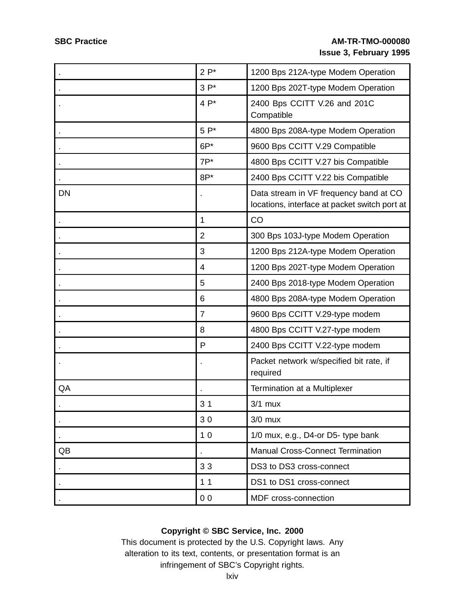|           | $2P^*$         | 1200 Bps 212A-type Modem Operation                                                      |
|-----------|----------------|-----------------------------------------------------------------------------------------|
|           | $3P*$          | 1200 Bps 202T-type Modem Operation                                                      |
|           | $4P^*$         | 2400 Bps CCITT V.26 and 201C<br>Compatible                                              |
|           | $5P*$          | 4800 Bps 208A-type Modem Operation                                                      |
|           | $6P*$          | 9600 Bps CCITT V.29 Compatible                                                          |
|           | $7P^*$         | 4800 Bps CCITT V.27 bis Compatible                                                      |
|           | $8P*$          | 2400 Bps CCITT V.22 bis Compatible                                                      |
| <b>DN</b> |                | Data stream in VF frequency band at CO<br>locations, interface at packet switch port at |
|           | $\mathbf 1$    | CO                                                                                      |
|           | $\overline{2}$ | 300 Bps 103J-type Modem Operation                                                       |
|           | 3              | 1200 Bps 212A-type Modem Operation                                                      |
|           | 4              | 1200 Bps 202T-type Modem Operation                                                      |
|           | 5              | 2400 Bps 2018-type Modem Operation                                                      |
|           | 6              | 4800 Bps 208A-type Modem Operation                                                      |
|           | 7              | 9600 Bps CCITT V.29-type modem                                                          |
|           | 8              | 4800 Bps CCITT V.27-type modem                                                          |
|           | P              | 2400 Bps CCITT V.22-type modem                                                          |
|           |                | Packet network w/specified bit rate, if<br>required                                     |
| QA        |                | Termination at a Multiplexer                                                            |
|           | 3 <sub>1</sub> | $3/1$ mux                                                                               |
|           | 30             | $3/0$ mux                                                                               |
|           | 10             | 1/0 mux, e.g., D4-or D5- type bank                                                      |
| QB        |                | <b>Manual Cross-Connect Termination</b>                                                 |
|           | 33             | DS3 to DS3 cross-connect                                                                |
|           | 11             | DS1 to DS1 cross-connect                                                                |
|           | 0 <sub>0</sub> | MDF cross-connection                                                                    |

## **Copyright © SBC Service, Inc. 2000**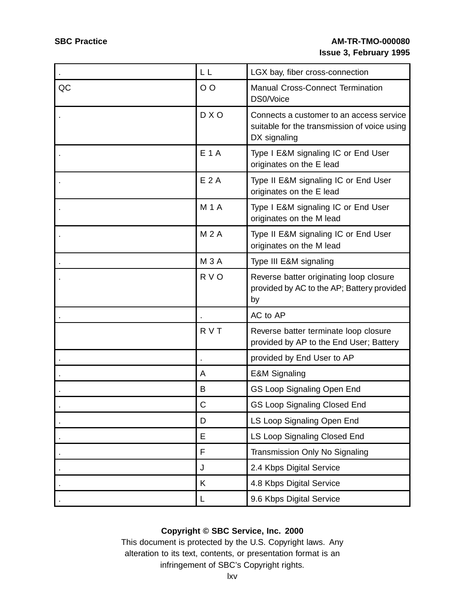|    | LL          | LGX bay, fiber cross-connection                                                                          |
|----|-------------|----------------------------------------------------------------------------------------------------------|
| QC | $O$ O       | <b>Manual Cross-Connect Termination</b><br>DS0/Voice                                                     |
|    | D X O       | Connects a customer to an access service<br>suitable for the transmission of voice using<br>DX signaling |
|    | <b>E1A</b>  | Type I E&M signaling IC or End User<br>originates on the E lead                                          |
|    | E 2A        | Type II E&M signaling IC or End User<br>originates on the E lead                                         |
|    | <b>M1A</b>  | Type I E&M signaling IC or End User<br>originates on the M lead                                          |
|    | <b>M2A</b>  | Type II E&M signaling IC or End User<br>originates on the M lead                                         |
|    | <b>M3A</b>  | Type III E&M signaling                                                                                   |
|    | R V O       | Reverse batter originating loop closure<br>provided by AC to the AP; Battery provided<br>by              |
|    |             | AC to AP                                                                                                 |
|    | R V T       | Reverse batter terminate loop closure<br>provided by AP to the End User; Battery                         |
|    |             | provided by End User to AP                                                                               |
|    | Α           | <b>E&amp;M Signaling</b>                                                                                 |
|    | B           | GS Loop Signaling Open End                                                                               |
|    | $\mathsf C$ | <b>GS Loop Signaling Closed End</b>                                                                      |
|    | D           | LS Loop Signaling Open End                                                                               |
|    | E           | LS Loop Signaling Closed End                                                                             |
|    | F           | Transmission Only No Signaling                                                                           |
|    | J           | 2.4 Kbps Digital Service                                                                                 |
|    | Κ           | 4.8 Kbps Digital Service                                                                                 |
|    | L           | 9.6 Kbps Digital Service                                                                                 |

## **Copyright © SBC Service, Inc. 2000**